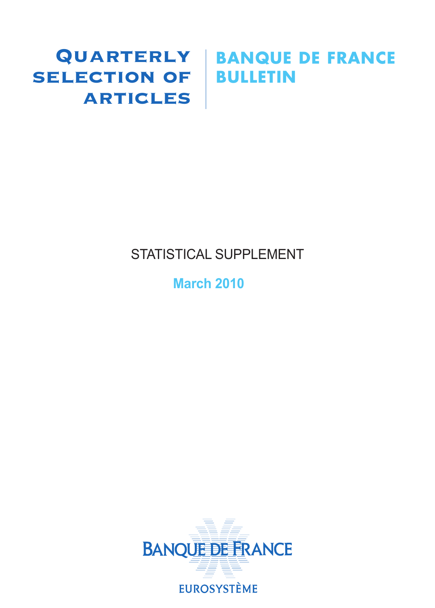# **SELECTION OF BULLETIN ARTICLES**

# Quarterly **BANQUE DE FRANCE**

# STATISTICAL SUPPLEMENT

# **March 2010**

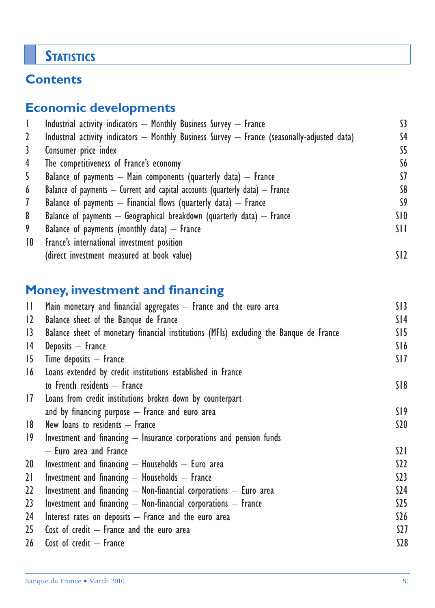# **STATISTICS**

# **Contents**

# **Economic developments**

|                 | Industrial activity indicators - Monthly Business Survey - France                                | S3.             |
|-----------------|--------------------------------------------------------------------------------------------------|-----------------|
| 2               | Industrial activity indicators $-$ Monthly Business Survey $-$ France (seasonally-adjusted data) | S4              |
| 3               | Consumer price index                                                                             | S5              |
| 4               | The competitiveness of France's economy                                                          | S6              |
| 5               | Balance of payments $-$ Main components (quarterly data) $-$ France                              | 57              |
| 6               | Balance of payments $-$ Current and capital accounts (quarterly data) $-$ France                 | S8              |
| 7               | Balance of payments $-$ Financial flows (quarterly data) $-$ France                              | S9              |
| 8               | Balance of payments $-$ Geographical breakdown (quarterly data) $-$ France                       | SIO.            |
| 9               | Balance of payments (monthly data) $-$ France                                                    | SH              |
| 10 <sup>°</sup> | France's international investment position                                                       |                 |
|                 | (direct investment measured at book value)                                                       | SI <sub>2</sub> |

# **Money, investment and financing**

| $\mathbf{\Pi}$  | Main monetary and financial aggregates $-$ France and the euro area                    | S13              |
|-----------------|----------------------------------------------------------------------------------------|------------------|
| 12              | Balance sheet of the Banque de France                                                  | S14              |
| $\overline{13}$ | Balance sheet of monetary financial institutions (MFIs) excluding the Banque de France | SI5              |
| 4               | Deposits - France                                                                      | S16              |
| 15              | Time deposits $-$ France                                                               | SI <sub>7</sub>  |
| 16              | Loans extended by credit institutions established in France                            |                  |
|                 | to French residents - France                                                           | S18              |
| 17              | Loans from credit institutions broken down by counterpart                              |                  |
|                 | and by financing purpose $-$ France and euro area                                      | S19              |
| 8               | New loans to residents $-$ France                                                      | \$20             |
| 19              | Investment and financing - Insurance corporations and pension funds                    |                  |
|                 | - Euro area and France                                                                 | $\Omega$         |
| 20 <sup>°</sup> | Investment and financing $-$ Households $-$ Euro area                                  | S <sub>2</sub>   |
| 21              | Investment and financing - Households - France                                         | S <sub>23</sub>  |
| $22 \,$         | Investment and financing $-$ Non-financial corporations $-$ Euro area                  | S24              |
| 23 <sup>°</sup> | Investment and financing $-$ Non-financial corporations $-$ France                     | S <sub>25</sub>  |
| 24              | Interest rates on deposits $-$ France and the euro area                                | \$26             |
| 25              | Cost of credit $-$ France and the euro area                                            | S <sub>2</sub> 7 |
| 26              | Cost of credit $-$ France                                                              | <b>S28</b>       |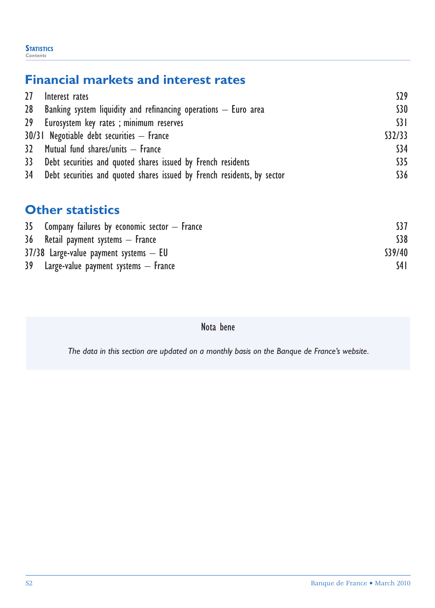#### **STATISTICS** *Contents*

# **Financial markets and interest rates**

| 27 Interest rates                                                          | 529           |
|----------------------------------------------------------------------------|---------------|
| 28 Banking system liquidity and refinancing operations $-$ Euro area       | <b>S30</b>    |
| 29 Eurosystem key rates; minimum reserves                                  | $\frac{1}{3}$ |
| $30/31$ Negotiable debt securities $-$ France                              | \$32/33       |
| 32 Mutual fund shares/units - France                                       | \$34          |
| 33 Debt securities and quoted shares issued by French residents            | \$35          |
| 34 Debt securities and quoted shares issued by French residents, by sector | \$36          |

## **Other statistics**

| $35$ Company failures by economic sector $-$ France |         |
|-----------------------------------------------------|---------|
| 36 Retail payment systems – France                  | \$38    |
| $37/38$ Large-value payment systems $-$ EU          | \$39/40 |
| 39 Large-value payment systems — France             | S4 I    |

Nota bene

*The data in this section are updated on a monthly basis on the Banque de France's website.*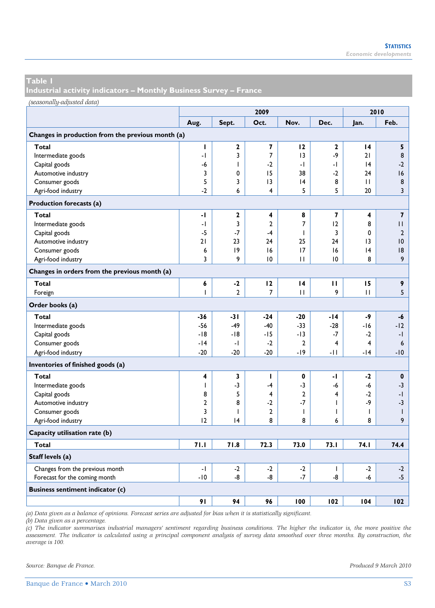**Industrial activity indicators – Monthly Business Survey – France** 

*(seasonally-adjusted data)*

|                                                   | 2009                    |                |                |                |              |              | 2010                    |
|---------------------------------------------------|-------------------------|----------------|----------------|----------------|--------------|--------------|-------------------------|
|                                                   | Aug.                    | Sept.          | Oct.           | Nov.           | Dec.         | Jan.         | Feb.                    |
| Changes in production from the previous month (a) |                         |                |                |                |              |              |                         |
| Total                                             | $\mathbf{I}$            | $\mathbf{2}$   | 7              | 12             | $\mathbf{2}$ | 14           | 5                       |
| Intermediate goods                                | -1                      | 3              | 7              | 3              | -9           | 21           | 8                       |
| Capital goods                                     | -6                      | T              | $-2$           | -1             | -1           | 4            | $-2$                    |
| Automotive industry                               | 3                       | 0              | 15             | 38             | $-2$         | 24           | 16                      |
| Consumer goods                                    | 5                       | 3              | 13             | 4              | 8            | П            | 8                       |
| Agri-food industry                                | $-2$                    | 6              | 4              | 5              | 5            | 20           | $\overline{3}$          |
| Production forecasts (a)                          |                         |                |                |                |              |              |                         |
| Total                                             | -1                      | 2              | 4              | 8              | 7            | 4            | $\overline{\mathbf{z}}$ |
| Intermediate goods                                | -1                      | 3              | $\mathbf{2}$   | $\overline{7}$ | 12           | 8            | П                       |
| Capital goods                                     | $-5$                    | $-7$           | $-4$           | ı              | 3            | $\mathbf 0$  | $\mathbf{2}$            |
| Automotive industry                               | 21                      | 23             | 24             | 25             | 24           | 13           | 10                      |
| Consumer goods                                    | 6                       | 9              | 16             | 17             | 16           | 4            | 18                      |
| Agri-food industry                                | 3                       | 9              | 10             | $\mathbf{H}$   | 10           | 8            | 9                       |
| Changes in orders from the previous month (a)     |                         |                |                |                |              |              |                         |
| Total                                             | 6                       | $-2$           | 12             | 4              | п            | 15           | 9                       |
| Foreign                                           | T                       | $\overline{2}$ | $\overline{7}$ | $\mathbf{H}$   | 9            | $\mathbf{H}$ | 5                       |
| Order books (a)                                   |                         |                |                |                |              |              |                         |
| Total                                             | -36                     | -31            | $-24$          | $-20$          | $-14$        | -9           | -6                      |
| Intermediate goods                                | $-56$                   | $-49$          | $-40$          | $-33$          | $-28$        | -16          | $-12$                   |
| Capital goods                                     | $-18$                   | -18            | -15            | $-13$          | $-7$         | $-2$         | $-1$                    |
| Consumer goods                                    | $-14$                   | -1             | $-2$           | $\mathbf{2}$   | 4            | 4            | 6                       |
| Agri-food industry                                | $-20$                   | $-20$          | $-20$          | $-19$          | -11          | $-14$        | $-10$                   |
| Inventories of finished goods (a)                 |                         |                |                |                |              |              |                         |
| Total                                             | $\overline{\mathbf{4}}$ | 3              | т              | 0              | -1           | $-2$         | $\mathbf 0$             |
| Intermediate goods                                | T                       | $-3$           | $-4$           | $-3$           | -6           | -6           | $-3$                    |
| Capital goods                                     | 8                       | 5              | $\overline{4}$ | $\overline{2}$ | 4            | $-2$         | $-1$                    |
| Automotive industry                               | $\mathbf{2}$            | 8              | $-2$           | $-7$           | ı            | -9           | $-3$                    |
| Consumer goods                                    | 3                       | T              | $\mathbf{2}$   | T              | T            | I            | $\mathbf{I}$            |
| Agri-food industry                                | 12                      | 4              | 8              | 8              | 6            | 8            | 9                       |
| Capacity utilisation rate (b)                     |                         |                |                |                |              |              |                         |
| Total                                             | 71.1                    | 71.8           | 72.3           | 73.0           | 73.1         | 74.I         | 74.4                    |
| Staff levels (a)                                  |                         |                |                |                |              |              |                         |
| Changes from the previous month                   | -1                      | $-2$           | $-2$           | $-2$           | ı            | $-2$         | $-2$                    |
| Forecast for the coming month                     | $-10$                   | -8             | -8             | $-7$           | -8           | $-6$         | $-5$                    |
| <b>Business sentiment indicator (c)</b>           |                         |                |                |                |              |              |                         |
|                                                   | 91                      | 94             | 96             | 100            | 102          | 104          | 102                     |

*(a) Data given as a balance of opinions. Forecast series are adjusted for bias when it is statistically significant.* 

*(b) Data given as a percentage.* 

*(c) The indicator summarises industrial managers' sentiment regarding business conditions. The higher the indicator is, the more positive the*  assessment. The indicator is calculated using a principal component analysis of survey data smoothed over three months. By construction, the *average is 100.* 

*Source: Banque de France. Produced 9 March 2010*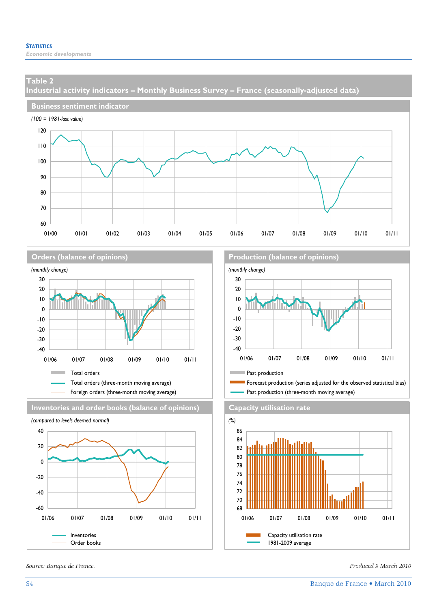**Industrial activity indicators – Monthly Business Survey – France (seasonally-adjusted data)** 









*Source: Banque de France. Produced 9 March 2010* 

#### **Orders (balance of opinions) Production (balance of opinions)**



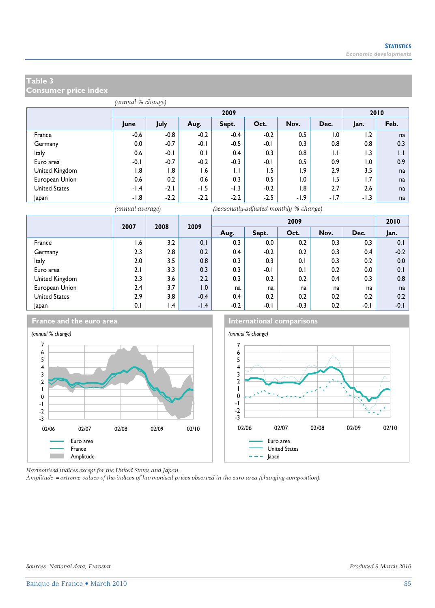**Consumer price index** 

|                      | (annual % change) |        |        |              |        |        |              |        |      |
|----------------------|-------------------|--------|--------|--------------|--------|--------|--------------|--------|------|
|                      |                   |        |        | 2009         |        |        |              | 2010   |      |
|                      | June              | July   | Aug.   | Sept.        | Oct.   | Nov.   | Dec.         | Jan.   | Feb. |
| France               | $-0.6$            | $-0.8$ | $-0.2$ | $-0.4$       | $-0.2$ | 0.5    | 1.0          | 1.2    | na   |
| Germany              | 0.0               | $-0.7$ | $-0.1$ | $-0.5$       | $-0.1$ | 0.3    | 0.8          | 0.8    | 0.3  |
| Italy                | 0.6               | $-0.1$ | 0.1    | 0.4          | 0.3    | 0.8    | $\mathsf{L}$ | 1.3    | IJ   |
| Euro area            | $-0.1$            | $-0.7$ | $-0.2$ | $-0.3$       | $-0.1$ | 0.5    | 0.9          | 1.0    | 0.9  |
| United Kingdom       | 1.8               | 1.8    | 6. ا   | $\mathsf{L}$ | 1.5    | 1.9    | 2.9          | 3.5    | na   |
| European Union       | 0.6               | 0.2    | 0.6    | 0.3          | 0.5    | 1.0    | 1.5          | 1.7    | na   |
| <b>United States</b> | $-1.4$            | $-2.1$ | $-1.5$ | $-1.3$       | $-0.2$ | 1.8    | 2.7          | 2.6    | na   |
| Japan                | -1.8              | $-2.2$ | $-2.2$ | $-2.2$       | $-2.5$ | $-1.9$ | $-1.7$       | $-1.3$ | na   |

*(annual average) (seasonally-adjusted monthly % change)*

|                      | 2007 | 2008            | 2009   |        |        | 2009   |      |      | 2010   |
|----------------------|------|-----------------|--------|--------|--------|--------|------|------|--------|
|                      |      |                 |        | Aug.   | Sept.  | Oct.   | Nov. | Dec. | Jan.   |
| France               | I.6  | 3.2             | 0.1    | 0.3    | 0.0    | 0.2    | 0.3  | 0.3  | 0.1    |
| Germany              | 2.3  | 2.8             | 0.2    | 0.4    | $-0.2$ | 0.2    | 0.3  | 0.4  | $-0.2$ |
| <b>Italy</b>         | 2.0  | 3.5             | 0.8    | 0.3    | 0.3    | 0.1    | 0.3  | 0.2  | 0.0    |
| Euro area            | 2.1  | 3.3             | 0.3    | 0.3    | $-0.1$ | 0.1    | 0.2  | 0.0  | 0.1    |
| United Kingdom       | 2.3  | 3.6             | 2.2    | 0.3    | 0.2    | 0.2    | 0.4  | 0.3  | 0.8    |
| European Union       | 2.4  | 3.7             | 0.1    | na     | na     | na     | na   | na   | na     |
| <b>United States</b> | 2.9  | 3.8             | $-0.4$ | 0.4    | 0.2    | 0.2    | 0.2  | 0.2  | 0.2    |
| Japan                | 0.1  | $\mathsf{I}$ .4 | $-1.4$ | $-0.2$ | $-0.1$ | $-0.3$ | 0.2  | -0.1 | $-0.1$ |







*Harmonised indices except for the United States and Japan.* 

*Amplitude =extreme values of the indices of harmonised prices observed in the euro area (changing composition).*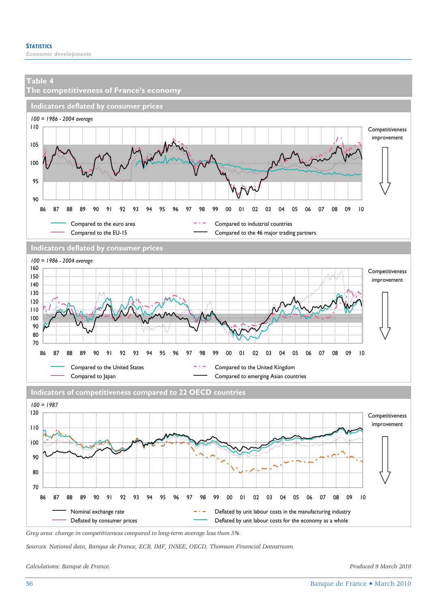

*Grey area: change in competitiveness compared to long-term average less than 5%.* 

*Sources: National data, Banque de France, ECB, IMF, INSEE, OECD, Thomson Financial Datastream.* 

*Calculations: Banque de France. Produced 9 March 2010*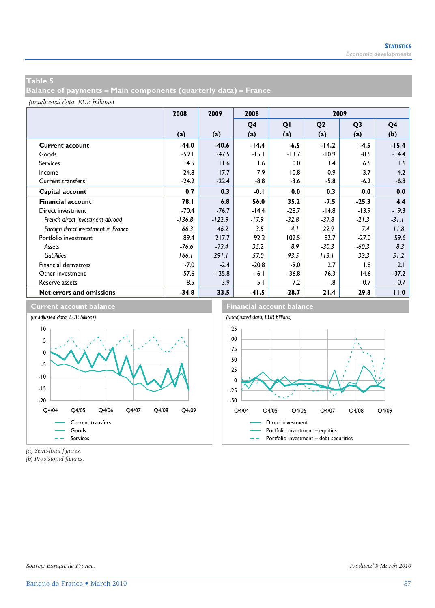**Balance of payments – Main components (quarterly data) – France** 

*(unadjusted data, EUR billions)*

|                                     | 2008     | 2009     | 2008    |         | 2009           |                |                |
|-------------------------------------|----------|----------|---------|---------|----------------|----------------|----------------|
|                                     |          |          | Q4      | QI      | Q <sub>2</sub> | Q <sub>3</sub> | Q <sub>4</sub> |
|                                     | (a)      | (a)      | (a)     | (a)     | (a)            | (a)            | (b)            |
| <b>Current account</b>              | $-44.0$  | $-40.6$  | $-14.4$ | $-6.5$  | $-14.2$        | $-4.5$         | $-15.4$        |
| Goods                               | $-59.1$  | $-47.5$  | $-15.1$ | $-13.7$ | $-10.9$        | $-8.5$         | $-14.4$        |
| <b>Services</b>                     | 14.5     | 11.6     | 1.6     | 0.0     | 3.4            | 6.5            | 1.6            |
| Income                              | 24.8     | 17.7     | 7.9     | 10.8    | $-0.9$         | 3.7            | 4.2            |
| <b>Current transfers</b>            | $-24.2$  | $-22.4$  | $-8.8$  | $-3.6$  | $-5.8$         | $-6.2$         | $-6.8$         |
| Capital account                     | 0.7      | 0.3      | $-0.1$  | 0.0     | 0.3            | 0.0            | 0.0            |
| <b>Financial account</b>            | 78.I     | 6.8      | 56.0    | 35.2    | $-7.5$         | $-25.3$        | 4.4            |
| Direct investment                   | $-70.4$  | $-76.7$  | $-14.4$ | $-28.7$ | $-14.8$        | $-13.9$        | $-19.3$        |
| French direct investment abroad     | $-136.8$ | $-122.9$ | $-17.9$ | $-32.8$ | $-37.8$        | $-21.3$        | $-31.1$        |
| Foreign direct investment in France | 66.3     | 46.2     | 3.5     | 4.1     | 22.9           | 7.4            | 11.8           |
| Portfolio investment                | 89.4     | 217.7    | 92.2    | 102.5   | 82.7           | $-27.0$        | 59.6           |
| Assets                              | $-76.6$  | $-73.4$  | 35.2    | 8.9     | $-30.3$        | $-60.3$        | 8.3            |
| <b>Liabilities</b>                  | 166.1    | 291.1    | 57.0    | 93.5    | 113.1          | 33.3           | 51.2           |
| <b>Financial derivatives</b>        | $-7.0$   | $-2.4$   | $-20.8$ | $-9.0$  | 2.7            | 1.8            | 2.1            |
| Other investment                    | 57.6     | $-135.8$ | $-6.1$  | $-36.8$ | $-76.3$        | 14.6           | $-37.2$        |
| Reserve assets                      | 8.5      | 3.9      | 5.1     | 7.2     | -1.8           | $-0.7$         | $-0.7$         |
| Net errors and omissions            | $-34.8$  | 33.5     | $-41.5$ | $-28.7$ | 21.4           | 29.8           | 11.0           |



*(a) Semi-final figures.*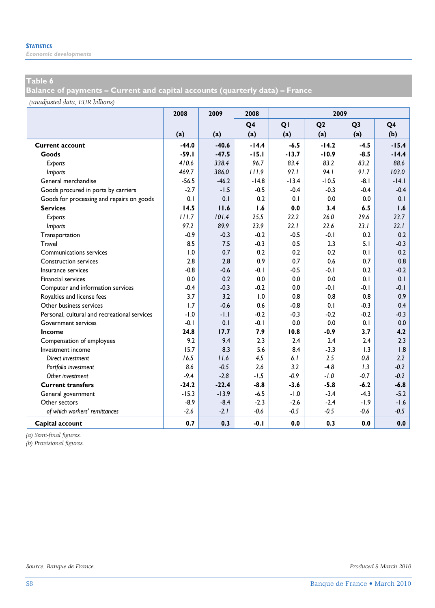*Economic developments* 

## **Table 6**

**Balance of payments – Current and capital accounts (quarterly data) – France** 

*(unadjusted data, EUR billions)*

|                                              | 2008    | 2009    | 2008           |         |                | 2009           |         |
|----------------------------------------------|---------|---------|----------------|---------|----------------|----------------|---------|
|                                              |         |         | Q <sub>4</sub> | QI      | Q <sub>2</sub> | Q <sub>3</sub> | Q4      |
|                                              | (a)     | (a)     | (a)            | (a)     | (a)            | (a)            | (b)     |
| <b>Current account</b>                       | $-44.0$ | $-40.6$ | $-14.4$        | $-6.5$  | $-14.2$        | $-4.5$         | $-15.4$ |
| Goods                                        | $-59.1$ | $-47.5$ | $-15.1$        | $-13.7$ | $-10.9$        | $-8.5$         | $-14.4$ |
| Exports                                      | 410.6   | 338.4   | 96.7           | 83.4    | 83.2           | 83.2           | 88.6    |
| Imports                                      | 469.7   | 386.0   | 111.9          | 97.1    | 94.1           | 91.7           | 103.0   |
| General merchandise                          | $-56.5$ | $-46.2$ | $-14.8$        | $-13.4$ | $-10.5$        | $-8.1$         | $-14.1$ |
| Goods procured in ports by carriers          | $-2.7$  | $-1.5$  | $-0.5$         | $-0.4$  | $-0.3$         | $-0.4$         | $-0.4$  |
| Goods for processing and repairs on goods    | 0.1     | 0.1     | 0.2            | 0.1     | 0.0            | 0.0            | 0.1     |
| <b>Services</b>                              | 14.5    | 11.6    | 1.6            | 0.0     | 3.4            | 6.5            | 1.6     |
| Exports                                      | 111.7   | 101.4   | 25.5           | 22.2    | 26.0           | 29.6           | 23.7    |
| Imports                                      | 97.2    | 89.9    | 23.9           | 22.1    | 22.6           | 23.1           | 22.1    |
| Transportation                               | $-0.9$  | $-0.3$  | $-0.2$         | $-0.5$  | $-0.1$         | 0.2            | 0.2     |
| Travel                                       | 8.5     | 7.5     | $-0.3$         | 0.5     | 2.3            | 5.1            | $-0.3$  |
| Communications services                      | 1.0     | 0.7     | 0.2            | 0.2     | 0.2            | 0.1            | 0.2     |
| <b>Construction services</b>                 | 2.8     | 2.8     | 0.9            | 0.7     | 0.6            | 0.7            | 0.8     |
| Insurance services                           | $-0.8$  | $-0.6$  | $-0.1$         | $-0.5$  | $-0.1$         | 0.2            | $-0.2$  |
| <b>Financial services</b>                    | 0.0     | 0.2     | 0.0            | 0.0     | 0.0            | 0.1            | 0.1     |
| Computer and information services            | $-0.4$  | $-0.3$  | $-0.2$         | 0.0     | $-0.1$         | $-0.1$         | $-0.1$  |
| Royalties and license fees                   | 3.7     | 3.2     | 1.0            | 0.8     | 0.8            | 0.8            | 0.9     |
| Other business services                      | 1.7     | $-0.6$  | 0.6            | $-0.8$  | 0.1            | $-0.3$         | 0.4     |
| Personal, cultural and recreational services | $-1.0$  | $-1.1$  | $-0.2$         | $-0.3$  | $-0.2$         | $-0.2$         | $-0.3$  |
| <b>Government services</b>                   | $-0.1$  | 0.1     | $-0.1$         | 0.0     | 0.0            | 0.1            | 0.0     |
| Income                                       | 24.8    | 17.7    | 7.9            | 10.8    | $-0.9$         | 3.7            | 4.2     |
| Compensation of employees                    | 9.2     | 9.4     | 2.3            | 2.4     | 2.4            | 2.4            | 2.3     |
| Investment income                            | 15.7    | 8.3     | 5.6            | 8.4     | $-3.3$         | 1.3            | 1.8     |
| Direct investment                            | 16.5    | 11.6    | 4.5            | 6.1     | 2.5            | 0.8            | 2.2     |
| Portfolio investment                         | 8.6     | $-0.5$  | 2.6            | 3.2     | $-4.8$         | 1.3            | $-0.2$  |
| Other investment                             | $-9.4$  | $-2.8$  | $-1.5$         | $-0.9$  | $-1.0$         | $-0.7$         | $-0.2$  |
| <b>Current transfers</b>                     | $-24.2$ | $-22.4$ | $-8.8$         | $-3.6$  | $-5.8$         | $-6.2$         | $-6.8$  |
| General government                           | $-15.3$ | $-13.9$ | $-6.5$         | $-1.0$  | $-3.4$         | $-4.3$         | $-5.2$  |
| Other sectors                                | $-8.9$  | $-8.4$  | $-2.3$         | $-2.6$  | $-2.4$         | $-1.9$         | $-1.6$  |
| of which workers' remittances                | $-2.6$  | $-2.1$  | $-0.6$         | $-0.5$  | $-0.5$         | $-0.6$         | $-0.5$  |
| Capital account                              | 0.7     | 0.3     | $-0.1$         | 0.0     | 0.3            | 0.0            | 0.0     |

*(a) Semi-final figures.*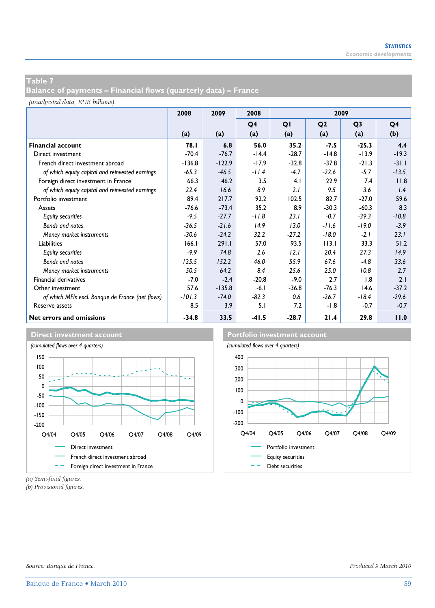**Balance of payments – Financial flows (quarterly data) – France** 

*(unadjusted data, EUR billions)*

|                                                  | 2008     | 2009     | 2008           | 2009    |                |                |                |
|--------------------------------------------------|----------|----------|----------------|---------|----------------|----------------|----------------|
|                                                  |          |          | Q <sub>4</sub> | QI      | Q <sub>2</sub> | Q <sub>3</sub> | Q <sub>4</sub> |
|                                                  | (a)      | (a)      | (a)            | (a)     | (a)            | (a)            | (b)            |
| <b>Financial account</b>                         | 78.I     | 6.8      | 56.0           | 35.2    | $-7.5$         | $-25.3$        | 4.4            |
| Direct investment                                | $-70.4$  | $-76.7$  | $-14.4$        | $-28.7$ | $-14.8$        | $-13.9$        | $-19.3$        |
| French direct investment abroad                  | $-136.8$ | $-122.9$ | $-17.9$        | $-32.8$ | $-37.8$        | $-21.3$        | $-31.1$        |
| of which equity capital and reinvested earnings  | $-65.3$  | $-46.5$  | $-11.4$        | $-4.7$  | $-22.6$        | $-5.7$         | $-13.5$        |
| Foreign direct investment in France              | 66.3     | 46.2     | 3.5            | 4.1     | 22.9           | 7.4            | 11.8           |
| of which equity capital and reinvested earnings  | 22.4     | 16.6     | 8.9            | 2.1     | 9.5            | 3.6            | 1.4            |
| Portfolio investment                             | 89.4     | 217.7    | 92.2           | 102.5   | 82.7           | $-27.0$        | 59.6           |
| Assets                                           | $-76.6$  | $-73.4$  | 35.2           | 8.9     | $-30.3$        | $-60.3$        | 8.3            |
| <b>Equity securities</b>                         | $-9.5$   | $-27.7$  | $-11.8$        | 23.1    | $-0.7$         | $-39.3$        | $-10.8$        |
| Bonds and notes                                  | $-36.5$  | $-21.6$  | 14.9           | 13.0    | $-11.6$        | $-19.0$        | $-3.9$         |
| Money market instruments                         | $-30.6$  | $-24.2$  | 32.2           | $-27.2$ | $-18.0$        | $-2.1$         | 23.1           |
| <b>Liabilities</b>                               | 166.1    | 291.1    | 57.0           | 93.5    | 113.1          | 33.3           | 51.2           |
| <b>Equity securities</b>                         | $-9.9$   | 74.8     | 2.6            | 12.1    | 20.4           | 27.3           | 14.9           |
| Bonds and notes                                  | 125.5    | 152.2    | 46.0           | 55.9    | 67.6           | $-4.8$         | 33.6           |
| Money market instruments                         | 50.5     | 64.2     | 8.4            | 25.6    | 25.0           | 10.8           | 2.7            |
| <b>Financial derivatives</b>                     | $-7.0$   | $-2.4$   | $-20.8$        | $-9.0$  | 2.7            | 1.8            | 2.1            |
| Other investment                                 | 57.6     | $-135.8$ | $-6.1$         | $-36.8$ | $-76.3$        | 14.6           | $-37.2$        |
| of which MFIs excl. Banque de France (net flows) | $-101.3$ | $-74.0$  | $-82.3$        | 0.6     | $-26.7$        | $-18.4$        | $-29.6$        |
| Reserve assets                                   | 8.5      | 3.9      | 5.1            | 7.2     | -1.8           | $-0.7$         | $-0.7$         |
| Net errors and omissions                         | $-34.8$  | 33.5     | $-41.5$        | $-28.7$ | 21.4           | 29.8           | 11.0           |





*(a) Semi-final figures.*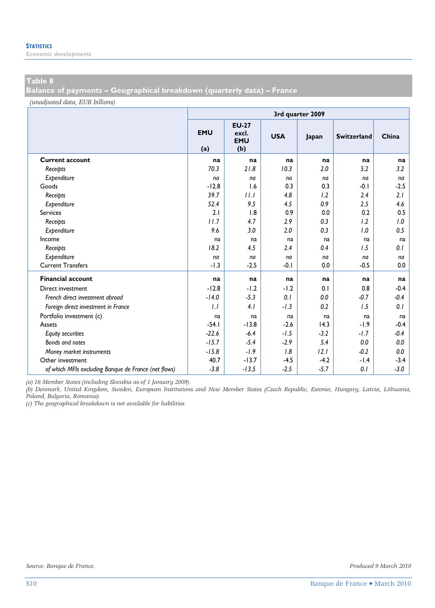*Economic developments* 

#### **Table 8**

**Balance of payments – Geographical breakdown (quarterly data) – France** 

*(unadjusted data, EUR billions)*

|                                                      | 3rd quarter 2009  |                                            |            |        |                    |        |  |  |  |  |
|------------------------------------------------------|-------------------|--------------------------------------------|------------|--------|--------------------|--------|--|--|--|--|
|                                                      | <b>EMU</b><br>(a) | <b>EU-27</b><br>excl.<br><b>EMU</b><br>(b) | <b>USA</b> | Japan  | <b>Switzerland</b> | China  |  |  |  |  |
| <b>Current account</b>                               | na                | na                                         | na         | na     | na                 | na     |  |  |  |  |
| Receipts                                             | 70.3              | 21.8                                       | 10.3       | 2.0    | 5.2                | 3.2    |  |  |  |  |
| Expenditure                                          | na                | na                                         | na         | na     | na                 | na     |  |  |  |  |
| Goods                                                | $-12.8$           | 1.6                                        | 0.3        | 0.3    | $-0.1$             | $-2.5$ |  |  |  |  |
| Receipts                                             | 39.7              | 11.1                                       | 4.8        | 1.2    | 2.4                | 2.1    |  |  |  |  |
| Expenditure                                          | 52.4              | 9.5                                        | 4.5        | 0.9    | 2.5                | 4.6    |  |  |  |  |
| Services                                             | 2.1               | 1.8                                        | 0.9        | 0.0    | 0.2                | 0.5    |  |  |  |  |
| Receipts                                             | 11.7              | 4.7                                        | 2.9        | 0.3    | 1.2                | 1.0    |  |  |  |  |
| Expenditure                                          | 9.6               | 3.0                                        | 2.0        | 0.3    | 1.0                | 0.5    |  |  |  |  |
| Income                                               | na                | na                                         | na         | na     | na                 | na     |  |  |  |  |
| Receipts                                             | 18.2              | 4.5                                        | 2.4        | 0.4    | 1.5                | 0.1    |  |  |  |  |
| Expenditure                                          | na                | na                                         | na         | na     | na                 | na     |  |  |  |  |
| <b>Current Transfers</b>                             | $-1.3$            | $-2.5$                                     | $-0.1$     | 0.0    | $-0.5$             | 0.0    |  |  |  |  |
| <b>Financial account</b>                             | na                | na                                         | na         | na     | na                 | na     |  |  |  |  |
| Direct investment                                    | $-12.8$           | $-1.2$                                     | $-1.2$     | 0.1    | 0.8                | $-0.4$ |  |  |  |  |
| French direct investment abroad                      | $-14.0$           | $-5.3$                                     | 0.1        | 0.0    | $-0.7$             | $-0.4$ |  |  |  |  |
| Foreign direct investment in France                  | 1.1               | 4.1                                        | $-1.3$     | 0.2    | 1.5                | 0.1    |  |  |  |  |
| Portfolio investment (c)                             | na                | na                                         | na         | na     | na                 | na     |  |  |  |  |
| Assets                                               | $-54.1$           | $-13.8$                                    | $-2.6$     | 14.3   | $-1.9$             | $-0.4$ |  |  |  |  |
| <b>Equity securities</b>                             | $-22.6$           | $-6.4$                                     | $-1.5$     | $-3.2$ | $-1.7$             | $-0.4$ |  |  |  |  |
| Bonds and notes                                      | $-15.7$           | $-5.4$                                     | $-2.9$     | 5.4    | 0.0                | 0.0    |  |  |  |  |
| Money market instruments                             | $-15.8$           | $-1.9$                                     | 1.8        | 12.1   | $-0.2$             | 0.0    |  |  |  |  |
| Other investment                                     | 40.7              | $-13.7$                                    | $-4.5$     | $-4.2$ | $-1.4$             | $-3.4$ |  |  |  |  |
| of which MFIs excluding Banque de France (net flows) | $-3.8$            | $-13.5$                                    | $-2.5$     | $-5.7$ | 0.1                | $-3.0$ |  |  |  |  |

*(a) 16 Member States (including Slovakia as of 1 January 2009).* 

*(b) Denmark, United Kingdom, Sweden, European Institutions and New Member States (Czech Republic, Estonia, Hungary, Latvia, Lithuania, Poland, Bulgaria, Romania).* 

*(c) The geographical breakdown is not available for liabilities.*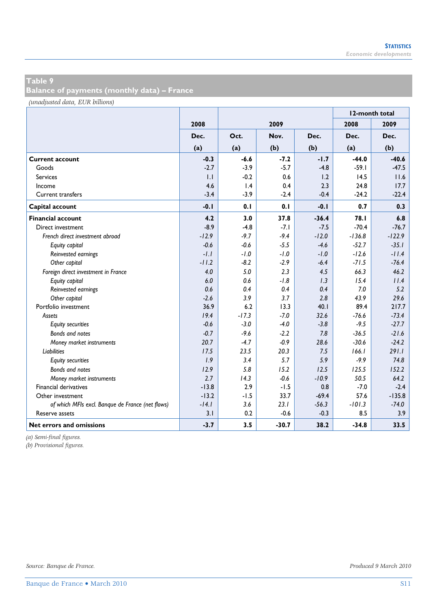**Balance of payments (monthly data) – France** 

*(unadjusted data, EUR billions)*

|                                                  |         |         |         | 12-month total |          |          |
|--------------------------------------------------|---------|---------|---------|----------------|----------|----------|
|                                                  | 2008    |         | 2009    |                | 2008     | 2009     |
|                                                  | Dec.    | Oct.    | Nov.    | Dec.           | Dec.     | Dec.     |
|                                                  | (a)     | (a)     | (b)     | (b)            | (a)      | (b)      |
| <b>Current account</b>                           | $-0.3$  | $-6.6$  | $-7.2$  | $-1.7$         | $-44.0$  | $-40.6$  |
| Goods                                            | $-2.7$  | $-3.9$  | $-5.7$  | $-4.8$         | $-59.1$  | $-47.5$  |
| <b>Services</b>                                  | 1.1     | $-0.2$  | 0.6     | 1.2            | 14.5     | 11.6     |
| Income                                           | 4.6     | 1.4     | 0.4     | 2.3            | 24.8     | 17.7     |
| Current transfers                                | $-3.4$  | $-3.9$  | $-2.4$  | $-0.4$         | $-24.2$  | $-22.4$  |
| Capital account                                  | $-0.1$  | 0.1     | 0.1     | $-0.1$         | 0.7      | 0.3      |
| <b>Financial account</b>                         | 4.2     | 3.0     | 37.8    | $-36.4$        | 78.I     | 6.8      |
| Direct investment                                | $-8.9$  | $-4.8$  | $-7.1$  | $-7.5$         | $-70.4$  | $-76.7$  |
| French direct investment abroad                  | $-12.9$ | $-9.7$  | $-9.4$  | $-12.0$        | $-136.8$ | $-122.9$ |
| Equity capital                                   | $-0.6$  | $-0.6$  | $-5.5$  | $-4.6$         | $-52.7$  | $-35.1$  |
| Reinvested earnings                              | $-1.1$  | $-1.0$  | $-1.0$  | $-1.0$         | $-12.6$  | $-11.4$  |
| Other capital                                    | $-11.2$ | $-8.2$  | $-2.9$  | $-6.4$         | $-71.5$  | $-76.4$  |
| Foreign direct investment in France              | 4.0     | 5.0     | 2.3     | 4.5            | 66.3     | 46.2     |
| Equity capital                                   | 6.0     | 0.6     | $-1.8$  | 1.3            | 15.4     | 11.4     |
| Reinvested earnings                              | 0.6     | 0.4     | 0.4     | 0.4            | 7.0      | 5.2      |
| Other capital                                    | $-2.6$  | 3.9     | 3.7     | 2.8            | 43.9     | 29.6     |
| Portfolio investment                             | 36.9    | 6.2     | 13.3    | 40.1           | 89.4     | 217.7    |
| Assets                                           | 19.4    | $-17.3$ | $-7.0$  | 32.6           | $-76.6$  | $-73.4$  |
| <b>Equity securities</b>                         | $-0.6$  | $-3.0$  | $-4.0$  | $-3.8$         | $-9.5$   | $-27.7$  |
| Bonds and notes                                  | $-0.7$  | $-9.6$  | $-2.2$  | 7.8            | $-36.5$  | $-21.6$  |
| Money market instruments                         | 20.7    | $-4.7$  | $-0.9$  | 28.6           | $-30.6$  | $-24.2$  |
| <b>Liabilities</b>                               | 17.5    | 23.5    | 20.3    | 7.5            | 166.1    | 291.1    |
| <b>Equity securities</b>                         | 1.9     | 3.4     | 5.7     | 5.9            | $-9.9$   | 74.8     |
| <b>Bonds and notes</b>                           | 12.9    | 5.8     | 15.2    | 12.5           | 125.5    | 152.2    |
| Money market instruments                         | 2.7     | 14.3    | $-0.6$  | $-10.9$        | 50.5     | 64.2     |
| <b>Financial derivatives</b>                     | $-13.8$ | 2.9     | $-1.5$  | 0.8            | $-7.0$   | $-2.4$   |
| Other investment                                 | $-13.2$ | $-1.5$  | 33.7    | $-69.4$        | 57.6     | $-135.8$ |
| of which MFIs excl. Banque de France (net flows) | $-14.1$ | 3.6     | 23.1    | $-56.3$        | $-101.3$ | $-74.0$  |
| Reserve assets                                   | 3.1     | 0.2     | $-0.6$  | $-0.3$         | 8.5      | 3.9      |
| Net errors and omissions                         | $-3.7$  | 3.5     | $-30.7$ | 38.2           | $-34.8$  | 33.5     |

*(a) Semi-final figures.*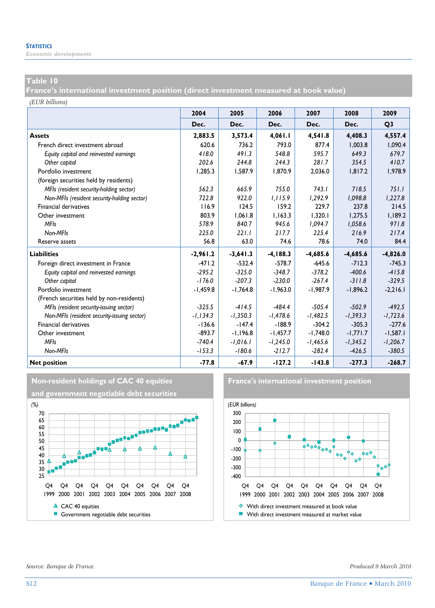*Economic developments* 

#### **Table 10**

**France's international investment position (direct investment measured at book value)** 

*(EUR billions)*

|                                             | 2004        | 2005       | 2006        | 2007       | 2008       | 2009           |
|---------------------------------------------|-------------|------------|-------------|------------|------------|----------------|
|                                             | Dec.        | Dec.       | Dec.        | Dec.       | Dec.       | Q <sub>3</sub> |
| <b>Assets</b>                               | 2,883.5     | 3,573.4    | 4,061.1     | 4,541.8    | 4,408.3    | 4,557.4        |
| French direct investment abroad             | 620.6       | 736.2      | 793.0       | 877.4      | 1.003.8    | 1.090.4        |
| Equity capital and reinvested earnings      | 418.0       | 491.3      | 548.8       | 595.7      | 649.3      | 679.7          |
| Other capital                               | 202.6       | 244.8      | 244.3       | 281.7      | 354.5      | 410.7          |
| Portfolio investment                        | 1,285.3     | 1,587.9    | 1,870.9     | 2,036.0    | 1.817.2    | 1,978.9        |
| (foreign securities held by residents)      |             |            |             |            |            |                |
| MFIs (resident security-holding sector)     | 562.3       | 6659       | 755.0       | 7431       | 718.5      | 751.1          |
| Non-MFIs (resident security-holding sector) | 722.8       | 922.0      | 1,115.9     | 1,292.9    | 1,098.8    | 1,227.8        |
| <b>Financial derivatives</b>                | 116.9       | 124.5      | 159.2       | 229.7      | 237.8      | 214.5          |
| Other investment                            | 803.9       | 1,061.8    | 1.163.3     | 1.320.1    | 1.275.5    | 1,189.2        |
| <b>MFIs</b>                                 | 578.9       | 840.7      | 945.6       | 1,094.7    | 1,058.6    | 971.8          |
| Non-MFIs                                    | 225.0       | 221.1      | 217.7       | 225.4      | 216.9      | 217.4          |
| Reserve assets                              | 56.8        | 63.0       | 74.6        | 78.6       | 74.0       | 84.4           |
| <b>Liabilities</b>                          | $-2,961.2$  | $-3,641.3$ | $-4, 188.3$ | $-4,685.6$ | $-4,685.6$ | $-4,826.0$     |
| Foreign direct investment in France         | $-471.2$    | $-532.4$   | $-578.7$    | $-645.6$   | $-712.3$   | $-745.3$       |
| Equity capital and reinvested earnings      | $-295.2$    | $-325.0$   | $-348.7$    | $-378.2$   | $-400.6$   | $-415.8$       |
| Other capital                               | $-176.0$    | $-207.3$   | $-230.0$    | $-267.4$   | $-311.8$   | $-329.5$       |
| Portfolio investment                        | -1,459.8    | $-1,764.8$ | $-1,963.0$  | $-1,987.9$ | $-1,896.2$ | $-2,216.1$     |
| (French securities held by non-residents)   |             |            |             |            |            |                |
| MFIs (resident security-issuing sector)     | $-325.5$    | $-414.5$   | $-484.4$    | $-505.4$   | $-502.9$   | $-492.5$       |
| Non-MFIs (resident security-issuing sector) | $-1, 134.3$ | $-1,350.3$ | $-1,478.6$  | $-1,482.5$ | $-1,393.3$ | $-1,723.6$     |
| <b>Financial derivatives</b>                | $-136.6$    | $-147.4$   | $-188.9$    | $-304.2$   | $-305.3$   | $-277.6$       |
| Other investment                            | $-893.7$    | $-1.196.8$ | $-1.457.7$  | $-1.748.0$ | $-1,771.7$ | $-1,587.1$     |
| <b>MFIs</b>                                 | $-740.4$    | $-1,016.1$ | $-1,245.0$  | $-1,465.6$ | $-1,345.2$ | $-1,206.7$     |
| Non-MFIs                                    | $-153.3$    | $-180.6$   | $-212.7$    | $-282.4$   | $-426.5$   | $-380.5$       |
| <b>Net position</b>                         | $-77.8$     | $-67.9$    | $-127.2$    | $-143.8$   | $-277.3$   | $-268.7$       |





*Source: Banque de France. Produced 9 March 2010*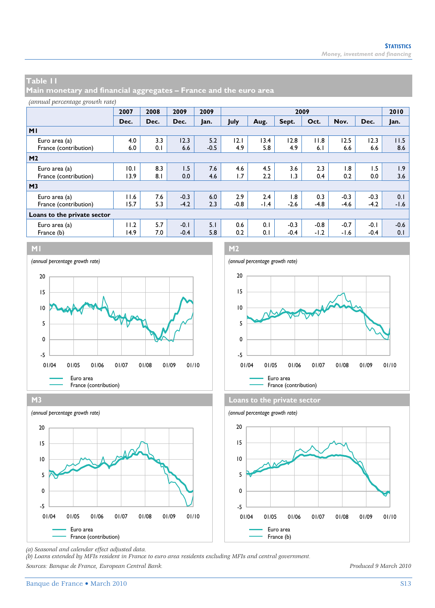**Main monetary and financial aggregates – France and the euro area** 

#### *(annual percentage growth rate)*

|                             | 2007 | 2008 | 2009   | 2009   | 2009   |      |        |        |        |        | 2010   |
|-----------------------------|------|------|--------|--------|--------|------|--------|--------|--------|--------|--------|
|                             | Dec. | Dec. | Dec.   | Jan.   | July   | Aug. | Sept.  | Oct.   | Nov.   | Dec.   | Jan.   |
| M <sub>1</sub>              |      |      |        |        |        |      |        |        |        |        |        |
| Euro area (a)               | 4.0  | 3.3  | 12.3   | 5.2    | 12. I  | 13.4 | 12.8   | 11.8   | 12.5   | 12.3   | 11.5   |
| France (contribution)       | 6.0  | 0.1  | 6.6    | $-0.5$ | 4.9    | 5.8  | 4.9    | 6.1    | 6.6    | 6.6    | 8.6    |
| M <sub>2</sub>              |      |      |        |        |        |      |        |        |        |        |        |
| Euro area (a)               | 10.1 | 8.3  | 1.5    | 7.6    | 4.6    | 4.5  | 3.6    | 2.3    | 1.8    | 1.5    | 1.9    |
| France (contribution)       | 13.9 | 8.1  | 0.0    | 4.6    | 1.7    | 2.2  | 1.3    | 0.4    | 0.2    | 0.0    | 3.6    |
| M <sub>3</sub>              |      |      |        |        |        |      |        |        |        |        |        |
| Euro area (a)               | 11.6 | 7.6  | $-0.3$ | 6.0    | 2.9    | 2.4  | 1.8    | 0.3    | $-0.3$ | $-0.3$ | 0.1    |
| France (contribution)       | 15.7 | 5.3  | $-4.2$ | 2.3    | $-0.8$ | -1.4 | $-2.6$ | $-4.8$ | $-4.6$ | $-4.2$ | $-1.6$ |
| Loans to the private sector |      |      |        |        |        |      |        |        |        |        |        |
| Euro area (a)               | 11.2 | 5.7  | $-0.1$ | 5.1    | 0.6    | 0.1  | $-0.3$ | $-0.8$ | $-0.7$ | $-0.1$ | $-0.6$ |
| France (b)                  | 14.9 | 7.0  | $-0.4$ | 5.8    | 0.2    | 0.1  | $-0.4$ | $-1.2$ | $-1.6$ | $-0.4$ | 0.1    |



**M3 Loans to the private sector** -5 0 5 10 15 20 01/04 01/05 01/06 01/07 01/08 01/09 01/10







*(a) Seasonal and calendar effect adjusted data.* 

*(b) Loans extended by MFIs resident in France to euro area residents excluding MFIs and central government. Sources: Banque de France, European Central Bank. Produced 9 March 2010*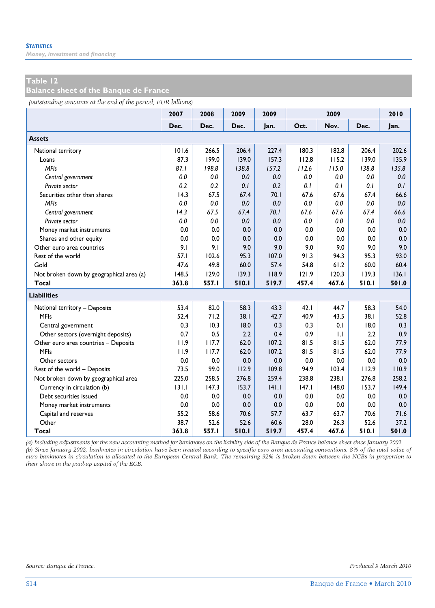*Money, investment and financing* 

#### **Table 12**

**Balance sheet of the Banque de France** 

*(outstanding amounts at the end of the period, EUR billions)*

|                                          | 2007  | 2008  | 2009  | 2009  |       | 2009  |       | 2010  |
|------------------------------------------|-------|-------|-------|-------|-------|-------|-------|-------|
|                                          | Dec.  | Dec.  | Dec.  | Jan.  | Oct.  | Nov.  | Dec.  | Jan.  |
| <b>Assets</b>                            |       |       |       |       |       |       |       |       |
| National territory                       | 101.6 | 266.5 | 206.4 | 227.4 | 180.3 | 182.8 | 206.4 | 202.6 |
| Loans                                    | 87.3  | 199.0 | 139.0 | 157.3 | 112.8 | 115.2 | 139.0 | 135.9 |
| <b>MFIs</b>                              | 87.1  | 198.8 | 138.8 | 157.2 | 112.6 | 115.0 | 138.8 | 135.8 |
| Central government                       | 0.0   | 0.0   | 0.0   | 0.0   | 0.0   | 0.0   | 0.0   | 0.0   |
| Private sector                           | 0.2   | 0.2   | 0.1   | 0.2   | 0.1   | 0.1   | 0.1   | 0.1   |
| Securities other than shares             | 14.3  | 67.5  | 67.4  | 70.1  | 67.6  | 67.6  | 67.4  | 66.6  |
| <b>MFIs</b>                              | 0.0   | 0.0   | 0.0   | 0.0   | 0.0   | 0.0   | 0.0   | 0.0   |
| Central government                       | 14.3  | 67.5  | 67.4  | 70.1  | 67.6  | 67.6  | 67.4  | 66.6  |
| Private sector                           | 0.0   | 0.0   | 0.0   | 0.0   | 0.0   | 0.0   | 0.0   | 0.0   |
| Money market instruments                 | 0.0   | 0.0   | 0.0   | 0.0   | 0.0   | 0.0   | 0.0   | 0.0   |
| Shares and other equity                  | 0.0   | 0.0   | 0.0   | 0.0   | 0.0   | 0.0   | 0.0   | 0.0   |
| Other euro area countries                | 9.1   | 9.1   | 9.0   | 9.0   | 9.0   | 9.0   | 9.0   | 9.0   |
| Rest of the world                        | 57.1  | 102.6 | 95.3  | 107.0 | 91.3  | 94.3  | 95.3  | 93.0  |
| Gold                                     | 47.6  | 49.8  | 60.0  | 57.4  | 54.8  | 61.2  | 60.0  | 60.4  |
| Not broken down by geographical area (a) | 148.5 | 129.0 | 139.3 | 118.9 | 121.9 | 120.3 | 139.3 | 136.1 |
| Total                                    | 363.8 | 557.1 | 510.1 | 519.7 | 457.4 | 467.6 | 510.1 | 501.0 |
| <b>Liabilities</b>                       |       |       |       |       |       |       |       |       |
| National territory - Deposits            | 53.4  | 82.0  | 58.3  | 43.3  | 42.1  | 44.7  | 58.3  | 54.0  |
| <b>MFIs</b>                              | 52.4  | 71.2  | 38.1  | 42.7  | 40.9  | 43.5  | 38.1  | 52.8  |
| Central government                       | 0.3   | 10.3  | 18.0  | 0.3   | 0.3   | 0.1   | 18.0  | 0.3   |
| Other sectors (overnight deposits)       | 0.7   | 0.5   | 2.2   | 0.4   | 0.9   | 1.1   | 2.2   | 0.9   |
| Other euro area countries - Deposits     | 11.9  | 117.7 | 62.0  | 107.2 | 81.5  | 81.5  | 62.0  | 77.9  |
| <b>MFIs</b>                              | 11.9  | 117.7 | 62.0  | 107.2 | 81.5  | 81.5  | 62.0  | 77.9  |
| Other sectors                            | 0.0   | 0.0   | 0.0   | 0.0   | 0.0   | 0.0   | 0.0   | 0.0   |
| Rest of the world - Deposits             | 73.5  | 99.0  | 112.9 | 109.8 | 94.9  | 103.4 | 112.9 | 110.9 |
| Not broken down by geographical area     | 225.0 | 258.5 | 276.8 | 259.4 | 238.8 | 238.1 | 276.8 | 258.2 |
| Currency in circulation (b)              | 131.1 | 147.3 | 153.7 | 141.1 | 147.1 | 148.0 | 153.7 | 149.4 |
| Debt securities issued                   | 0.0   | 0.0   | 0.0   | 0.0   | 0.0   | 0.0   | 0.0   | 0.0   |
| Money market instruments                 | 0.0   | 0.0   | 0.0   | 0.0   | 0.0   | 0.0   | 0.0   | 0.0   |
| Capital and reserves                     | 55.2  | 58.6  | 70.6  | 57.7  | 63.7  | 63.7  | 70.6  | 71.6  |
| Other                                    | 38.7  | 52.6  | 52.6  | 60.6  | 28.0  | 26.3  | 52.6  | 37.2  |
| Total                                    | 363.8 | 557.I | 510.1 | 519.7 | 457.4 | 467.6 | 510.1 | 501.0 |

*(a) Including adjustments for the new accounting method for banknotes on the liability side of the Banque de France balance sheet since January 2002. (b) Since January 2002, banknotes in circulation have been treated according to specific euro area accounting conventions. 8% of the total value of euro banknotes in circulation is allocated to the European Central Bank. The remaining 92% is broken down between the NCBs in proportion to their share in the paid-up capital of the ECB.*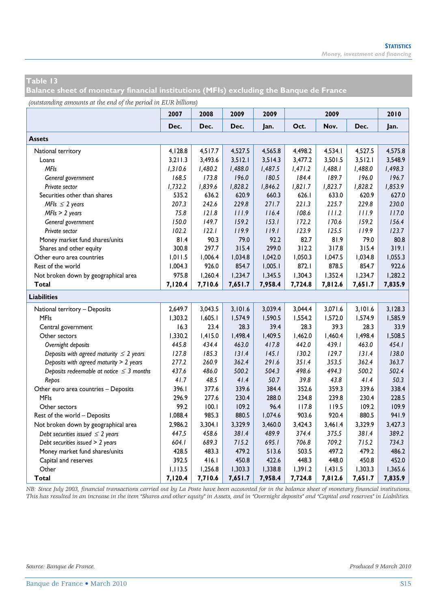**Balance sheet of monetary financial institutions (MFIs) excluding the Banque de France** 

*(outstanding amounts at the end of the period in EUR billions)*

|                                               | 2007    | 2008    | 2009    | 2009    |         | 2009    |         | 2010    |
|-----------------------------------------------|---------|---------|---------|---------|---------|---------|---------|---------|
|                                               | Dec.    | Dec.    | Dec.    | Jan.    | Oct.    | Nov.    | Dec.    | Jan.    |
| <b>Assets</b>                                 |         |         |         |         |         |         |         |         |
| National territory                            | 4,128.8 | 4,517.7 | 4,527.5 | 4,565.8 | 4,498.2 | 4,534.1 | 4,527.5 | 4,575.8 |
| Loans                                         | 3,211.3 | 3,493.6 | 3,512.1 | 3,514.3 | 3,477.2 | 3,501.5 | 3,512.1 | 3,548.9 |
| <b>MFIs</b>                                   | 1,310.6 | 1,480.2 | 1,488.0 | 1,487.5 | 1,471.2 | 1,488.1 | 1,488.0 | 1,498.3 |
| General government                            | 168.5   | 173.8   | 196.0   | 180.5   | 184.4   | 189.7   | 196.0   | 196.7   |
| Private sector                                | 1,732.2 | 1,839.6 | 1,828.2 | 1,846.2 | 1,821.7 | 1,823.7 | 1,828.2 | 1,853.9 |
| Securities other than shares                  | 535.2   | 636.2   | 620.9   | 660.3   | 626.1   | 633.0   | 620.9   | 627.0   |
| MFIs $\leq$ 2 years                           | 207.3   | 242.6   | 229.8   | 271.7   | 221.3   | 225.7   | 229.8   | 230.0   |
| $MFIs > 2$ years                              | 75.8    | 121.8   | 111.9   | 116.4   | 108.6   | 111.2   | 111.9   | 117.0   |
| General government                            | 150.0   | 149.7   | 159.2   | 153.1   | 172.2   | 170.6   | 159.2   | 156.4   |
| Private sector                                | 102.2   | 122.1   | 119.9   | 119.1   | 123.9   | 125.5   | 119.9   | 123.7   |
| Money market fund shares/units                | 81.4    | 90.3    | 79.0    | 92.2    | 82.7    | 81.9    | 79.0    | 80.8    |
| Shares and other equity                       | 300.8   | 297.7   | 315.4   | 299.0   | 312.2   | 317.8   | 315.4   | 319.1   |
| Other euro area countries                     | 1,011.5 | 1,006.4 | 1,034.8 | 1,042.0 | 1,050.3 | 1,047.5 | 1,034.8 | 1,055.3 |
| Rest of the world                             | 1,004.3 | 926.0   | 854.7   | 1,005.1 | 872.I   | 878.5   | 854.7   | 922.6   |
| Not broken down by geographical area          | 975.8   | 1,260.4 | 1,234.7 | 1,345.5 | 1,304.3 | 1,352.4 | 1,234.7 | 1,282.2 |
| Total                                         | 7,120.4 | 7,710.6 | 7,651.7 | 7,958.4 | 7,724.8 | 7,812.6 | 7,651.7 | 7,835.9 |
| <b>Liabilities</b>                            |         |         |         |         |         |         |         |         |
| National territory - Deposits                 | 2,649.7 | 3,043.5 | 3,101.6 | 3,039.4 | 3,044.4 | 3,071.6 | 3,101.6 | 3,128.3 |
| <b>MFIs</b>                                   | 1,303.2 | 1,605.1 | 1,574.9 | 1,590.5 | 1,554.2 | 1,572.0 | 1,574.9 | 1,585.9 |
| Central government                            | 16.3    | 23.4    | 28.3    | 39.4    | 28.3    | 39.3    | 28.3    | 33.9    |
| Other sectors                                 | 1,330.2 | 1,415.0 | 1,498.4 | 1,409.5 | 1,462.0 | 1,460.4 | 1,498.4 | 1,508.5 |
| Overnight deposits                            | 445.8   | 434.4   | 463.0   | 417.8   | 442.0   | 439.1   | 463.0   | 454.1   |
| Deposits with agreed maturity $\leq 2$ years  | 127.8   | 185.3   | 131.4   | 145.1   | 130.2   | 129.7   | 131.4   | 138.0   |
| Deposits with agreed maturity > 2 years       | 277.2   | 260.9   | 362.4   | 291.6   | 351.4   | 353.5   | 362.4   | 363.7   |
| Deposits redeemable at notice $\leq$ 3 months | 437.6   | 486.0   | 500.2   | 504.3   | 498.6   | 494.3   | 500.2   | 502.4   |
| Repos                                         | 41.7    | 48.5    | 41.4    | 50.7    | 39.8    | 43.8    | 41.4    | 50.3    |
| Other euro area countries - Deposits          | 396.1   | 377.6   | 339.6   | 384.4   | 352.6   | 359.3   | 339.6   | 338.4   |
| <b>MFIs</b>                                   | 296.9   | 277.6   | 230.4   | 288.0   | 234.8   | 239.8   | 230.4   | 228.5   |
| Other sectors                                 | 99.2    | 100.1   | 109.2   | 96.4    | 117.8   | 119.5   | 109.2   | 109.9   |
| Rest of the world - Deposits                  | 1,088.4 | 985.3   | 880.5   | 1,074.6 | 903.6   | 920.4   | 880.5   | 941.9   |
| Not broken down by geographical area          | 2,986.2 | 3,304.1 | 3,329.9 | 3,460.0 | 3,424.3 | 3,461.4 | 3,329.9 | 3,427.3 |
| Debt securities issued $\leq$ 2 years         | 447.5   | 458.6   | 381.4   | 489.9   | 374.4   | 375.5   | 381.4   | 389.2   |
| Debt securities issued > 2 years              | 604.I   | 689.3   | 715.2   | 695.1   | 706.8   | 709.2   | 715.2   | 734.3   |
| Money market fund shares/units                | 428.5   | 483.3   | 479.2   | 513.6   | 503.5   | 497.2   | 479.2   | 486.2   |
| Capital and reserves                          | 392.5   | 416.1   | 450.8   | 422.6   | 448.3   | 448.0   | 450.8   | 452.0   |
| Other                                         | 1,113.5 | 1,256.8 | 1,303.3 | 1,338.8 | 1,391.2 | 1,431.5 | 1,303.3 | 1,365.6 |
| Total                                         | 7,120.4 | 7,710.6 | 7,651.7 | 7,958.4 | 7,724.8 | 7,812.6 | 7,651.7 | 7,835.9 |

*NB: Since July 2003, financial transactions carried out by La Poste have been accounted for in the balance sheet of monetary financial institutions. This has resulted in an increase in the item "Shares and other equity" in Assets, and in "Overnight deposits" and "Capital and reserves" in Liabilities.*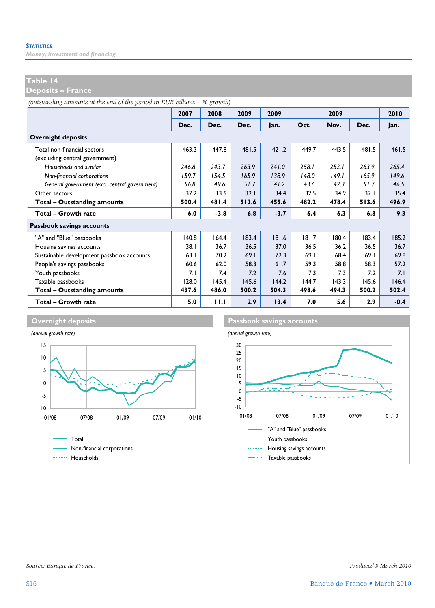*Money, investment and financing* 

#### **Table 14**

**Deposits – France** 

*(outstanding amounts at the end of the period in EUR billions – % growth)*

|                                               | 2007  | 2008   | 2009  | 2009   |       | 2009  |       | 2010   |
|-----------------------------------------------|-------|--------|-------|--------|-------|-------|-------|--------|
|                                               | Dec.  | Dec.   | Dec.  | Jan.   | Oct.  | Nov.  | Dec.  | Jan.   |
| <b>Overnight deposits</b>                     |       |        |       |        |       |       |       |        |
| Total non-financial sectors                   | 463.3 | 447.8  | 481.5 | 421.2  | 449.7 | 443.5 | 481.5 | 461.5  |
| (excluding central government)                |       |        |       |        |       |       |       |        |
| Households and similar                        | 246.8 | 243.7  | 263.9 | 241.0  | 258.1 | 252.1 | 263.9 | 265.4  |
| Non-financial corporations                    | 159.7 | 154.5  | 165.9 | 138.9  | 148.0 | 149.1 | 165.9 | 149.6  |
| General government (excl. central government) | 56.8  | 49.6   | 51.7  | 41.2   | 43.6  | 42.3  | 51.7  | 46.5   |
| Other sectors                                 | 37.2  | 33.6   | 32.1  | 34.4   | 32.5  | 34.9  | 32.1  | 35.4   |
| Total - Outstanding amounts                   | 500.4 | 481.4  | 513.6 | 455.6  | 482.2 | 478.4 | 513.6 | 496.9  |
| Total - Growth rate                           | 6.0   | $-3.8$ | 6.8   | $-3.7$ | 6.4   | 6.3   | 6.8   | 9.3    |
| Passbook savings accounts                     |       |        |       |        |       |       |       |        |
| "A" and "Blue" passbooks                      | 140.8 | 164.4  | 183.4 | 181.6  | 181.7 | 180.4 | 183.4 | 185.2  |
| Housing savings accounts                      | 38.1  | 36.7   | 36.5  | 37.0   | 36.5  | 36.2  | 36.5  | 36.7   |
| Sustainable development passbook accounts     | 63.1  | 70.2   | 69.1  | 72.3   | 69.1  | 68.4  | 69.1  | 69.8   |
| People's savings passbooks                    | 60.6  | 62.0   | 58.3  | 61.7   | 59.3  | 58.8  | 58.3  | 57.2   |
| Youth passbooks                               | 7.1   | 7.4    | 7.2   | 7.6    | 7.3   | 7.3   | 7.2   | 7.I    |
| Taxable passbooks                             | 128.0 | 145.4  | 145.6 | 144.2  | 144.7 | 143.3 | 145.6 | 146.4  |
| <b>Total - Outstanding amounts</b>            | 437.6 | 486.0  | 500.2 | 504.3  | 498.6 | 494.3 | 500.2 | 502.4  |
| Total - Growth rate                           | 5.0   | 11.1   | 2.9   | 13.4   | 7.0   | 5.6   | 2.9   | $-0.4$ |



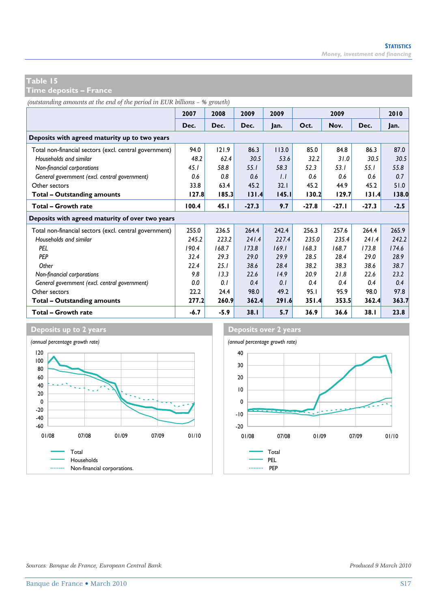**Time deposits – France** 

*(outstanding amounts at the end of the period in EUR billions – % growth)*

|                                                        | 2007   | 2008   | 2009    | 2009  |         | 2009    |         | 2010   |
|--------------------------------------------------------|--------|--------|---------|-------|---------|---------|---------|--------|
|                                                        | Dec.   | Dec.   | Dec.    | Jan.  | Oct.    | Nov.    | Dec.    | Jan.   |
| Deposits with agreed maturity up to two years          |        |        |         |       |         |         |         |        |
| Total non-financial sectors (excl. central government) | 94.0   | 121.9  | 86.3    | 113.0 | 85.0    | 84.8    | 86.3    | 87.0   |
| Households and similar                                 | 48.2   | 62.4   | 30.5    | 53.6  | 32.2    | 31.0    | 30.5    | 30.5   |
| Non-financial corporations                             | 45.1   | 58.8   | 55.1    | 58.3  | 52.3    | 53.1    | 55.1    | 55.8   |
| General government (excl. central government)          | 0.6    | 0.8    | 0.6     | 1.1   | 0.6     | 0.6     | 0.6     | 0.7    |
| Other sectors                                          | 33.8   | 63.4   | 45.2    | 32.1  | 45.2    | 44.9    | 45.2    | 51.0   |
| Total - Outstanding amounts                            | 127.8  | 185.3  | 131.4   | 145.1 | 130.2   | 129.7   | 131.4   | 138.0  |
| Total - Growth rate                                    | 100.4  | 45.1   | $-27.3$ | 9.7   | $-27.8$ | $-27.1$ | $-27.3$ | $-2.5$ |
| Deposits with agreed maturity of over two years        |        |        |         |       |         |         |         |        |
| Total non-financial sectors (excl. central government) | 255.0  | 236.5  | 264.4   | 242.4 | 256.3   | 257.6   | 264.4   | 265.9  |
| Households and similar                                 | 245.2  | 223.2  | 241.4   | 227.4 | 235.0   | 235.4   | 241.4   | 242.2  |
| PEL                                                    | 190.4  | 168.7  | 173.8   | 169.1 | 168.3   | 168.7   | 173.8   | 174.6  |
| <b>PEP</b>                                             | 32.4   | 29.3   | 29.0    | 29.9  | 28.5    | 28.4    | 29.0    | 28.9   |
| Other                                                  | 22.4   | 25.1   | 38.6    | 28.4  | 38.2    | 38.3    | 38.6    | 38.7   |
| Non-financial corporations                             | 9.8    | 13.3   | 22.6    | 14.9  | 20.9    | 21.8    | 22.6    | 23.2   |
| General government (excl. central government)          | 0.0    | 0.1    | 0.4     | 0.1   | 0.4     | 0.4     | 0.4     | 0.4    |
| Other sectors                                          | 22.2   | 24.4   | 98.0    | 49.2  | 95.1    | 95.9    | 98.0    | 97.8   |
| Total - Outstanding amounts                            | 277.2  | 260.9  | 362.4   | 291.6 | 351.4   | 353.5   | 362.4   | 363.7  |
| Total - Growth rate                                    | $-6.7$ | $-5.9$ | 38.1    | 5.7   | 36.9    | 36.6    | 38.1    | 23.8   |



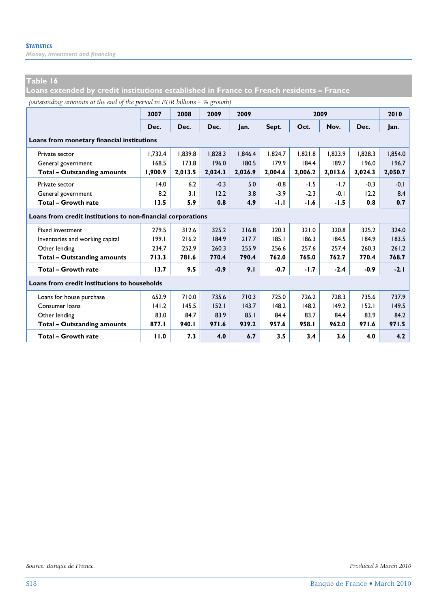*Money, investment and financing* 

#### **Table 16**

**Loans extended by credit institutions established in France to French residents – France** 

*(outstanding amounts at the end of the period in EUR billions – % growth)*

|                                                              | 2007    | 2008    | 2009    | 2009    |         |         | 2009    |         | 2010    |
|--------------------------------------------------------------|---------|---------|---------|---------|---------|---------|---------|---------|---------|
|                                                              | Dec.    | Dec.    | Dec.    | lan.    | Sept.   | Oct.    | Nov.    | Dec.    | Jan.    |
| Loans from monetary financial institutions                   |         |         |         |         |         |         |         |         |         |
| Private sector                                               | 1.732.4 | 1.839.8 | 1.828.3 | 1.846.4 | 1.824.7 | 1.821.8 | 1.823.9 | 1.828.3 | 1.854.0 |
| General government                                           | 168.5   | 173.8   | 196.0   | 180.5   | 179.9   | 184.4   | 189.7   | 196.0   | 196.7   |
| <b>Total - Outstanding amounts</b>                           | 1,900.9 | 2,013.5 | 2,024.3 | 2,026.9 | 2,004.6 | 2,006.2 | 2,013.6 | 2,024.3 | 2,050.7 |
| Private sector                                               | 14.0    | 6.2     | $-0.3$  | 5.0     | $-0.8$  | $-1.5$  | $-1.7$  | $-0.3$  | $-0.1$  |
| General government                                           | 8.2     | 3.1     | 12.2    | 3.8     | $-3.9$  | $-2.3$  | $-0.1$  | 12.2    | 8.4     |
| Total - Growth rate                                          | 13.5    | 5.9     | 0.8     | 4.9     | $-1.1$  | $-1.6$  | $-1.5$  | 0.8     | 0.7     |
| Loans from credit institutions to non-financial corporations |         |         |         |         |         |         |         |         |         |
| <b>Fixed investment</b>                                      | 279.5   | 312.6   | 325.2   | 316.8   | 320.3   | 321.0   | 320.8   | 325.2   | 324.0   |
| Inventories and working capital                              | 199.1   | 216.2   | 184.9   | 217.7   | 185.1   | 186.3   | 184.5   | 184.9   | 183.5   |
| Other lending                                                | 234.7   | 252.9   | 260.3   | 255.9   | 256.6   | 257.6   | 257.4   | 260.3   | 261.2   |
| <b>Total - Outstanding amounts</b>                           | 713.3   | 781.6   | 770.4   | 790.4   | 762.0   | 765.0   | 762.7   | 770.4   | 768.7   |
| Total - Growth rate                                          | 13.7    | 9.5     | $-0.9$  | 9.1     | $-0.7$  | $-1.7$  | $-2.4$  | $-0.9$  | $-2.1$  |
| Loans from credit institutions to households                 |         |         |         |         |         |         |         |         |         |
| Loans for house purchase                                     | 652.9   | 710.0   | 735.6   | 710.3   | 725.0   | 726.2   | 728.3   | 735.6   | 737.9   |
| Consumer loans                                               | 141.2   | 145.5   | 152.1   | 143.7   | 148.2   | 148.2   | 149.2   | 152.1   | 149.5   |
| Other lending                                                | 83.0    | 84.7    | 83.9    | 85.1    | 84.4    | 83.7    | 84.4    | 83.9    | 84.2    |
| <b>Total - Outstanding amounts</b>                           | 877.I   | 940.I   | 971.6   | 939.2   | 957.6   | 958.I   | 962.0   | 971.6   | 971.5   |
| Total - Growth rate                                          | 11.0    | 7.3     | 4.0     | 6.7     | 3.5     | 3.4     | 3.6     | 4.0     | 4.2     |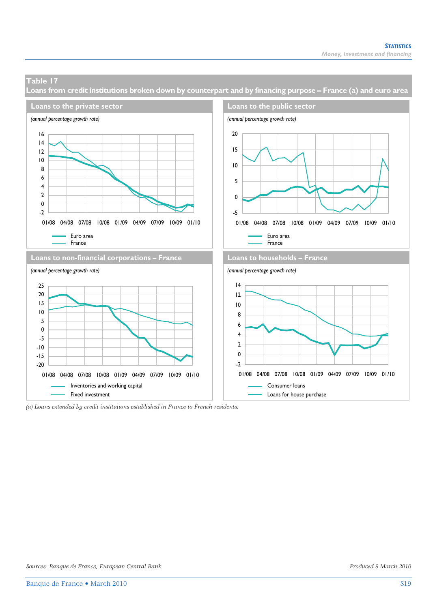**Loans from credit institutions broken down by counterpart and by financing purpose – France (a) and euro area** 



*(a) Loans extended by credit institutions established in France to French residents.*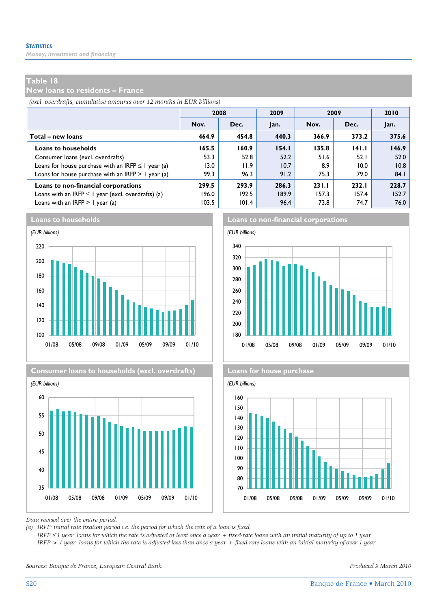*Money, investment and financing* 

#### **Table 18**

**New loans to residents – France** 

*(excl. overdrafts, cumulative amounts over 12 months in EUR billions)*

|                                                         | 2008  |       | 2009  | 2009  | 2010  |       |
|---------------------------------------------------------|-------|-------|-------|-------|-------|-------|
|                                                         | Nov.  | Dec.  | Jan.  | Nov.  | Dec.  | Jan.  |
| Total – new loans                                       | 464.9 | 454.8 | 440.3 | 366.9 | 373.2 | 375.6 |
| <b>Loans to households</b>                              | 165.5 | 160.9 | 154.1 | 135.8 | 141.1 | 146.9 |
| Consumer loans (excl. overdrafts)                       | 53.3  | 52.8  | 52.2  | 51.6  | 52.1  | 52.0  |
| Loans for house purchase with an IRFP $\leq$ 1 year (a) | 13.0  | 11.9  | 10.7  | 8.9   | 10.0  | 10.8  |
| Loans for house purchase with an IRFP $> 1$ year (a)    | 99.3  | 96.3  | 91.2  | 75.3  | 79.0  | 84.1  |
| Loans to non-financial corporations                     | 299.5 | 293.9 | 286.3 | 231.1 | 232.1 | 228.7 |
| Loans with an IRFP $\leq$ I year (excl. overdrafts) (a) | 196.0 | 192.5 | 189.9 | 157.3 | 157.4 | 152.7 |
| Loans with an IRFP $> 1$ year (a)                       | 103.5 | 101.4 | 96.4  | 73.8  | 74.7  | 76.0  |









**Loans to households Loans to non-financial corporations**





*Data revised over the entire period.* 

*(a) IRFP: initial rate fixation period i.e. the period for which the rate of a loan is fixed.* 

 *IRFP* ≤ *1 year: loans for which the rate is adjusted at least once a year + fixed-rate loans with an initial maturity of up to 1 year. IRFP > 1 year: loans for which the rate is adjusted less than once a year + fixed-rate loans with an initial maturity of over 1 year.* 

*Sources: Banque de France, European Central Bank. Produced 9 March 2010*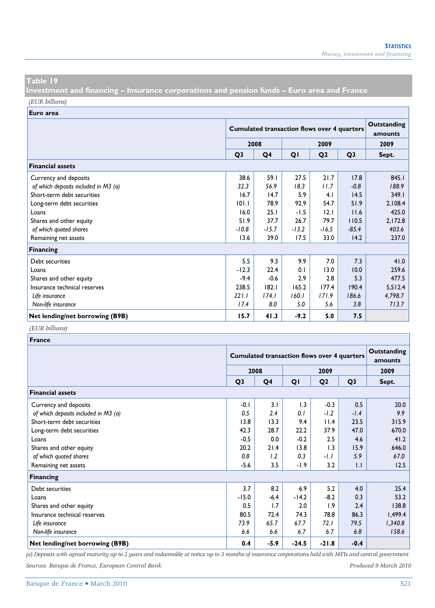**Investment and financing – Insurance corporations and pension funds – Euro area and France**  *(EUR billions)*

**Euro area**

|                                      |                | <b>Cumulated transaction flows over 4 quarters</b> | Outstanding<br>amounts |                |                |         |
|--------------------------------------|----------------|----------------------------------------------------|------------------------|----------------|----------------|---------|
|                                      |                | 2008                                               |                        | 2009           |                |         |
|                                      | Q <sub>3</sub> | Q4                                                 | QI                     | Q <sub>2</sub> | Q <sub>3</sub> | Sept.   |
| <b>Financial assets</b>              |                |                                                    |                        |                |                |         |
| Currency and deposits                | 38.6           | 59.1                                               | 27.5                   | 21.7           | 17.8           | 845.1   |
| of which deposits included in M3 (a) | 32.3           | 56.9                                               | 18.3                   | 11.7           | $-0.8$         | 188.9   |
| Short-term debt securities           | 16.7           | 14.7                                               | 5.9                    | 4.1            | 14.5           | 349.1   |
| Long-term debt securities            | 101.1          | 78.9                                               | 92.9                   | 54.7           | 51.9           | 2,108.4 |
| Loans                                | 16.0           | 25.1                                               | $-1.5$                 | $ 2.1\rangle$  | 11.6           | 425.0   |
| Shares and other equity              | 51.9           | 37.7                                               | 26.7                   | 79.7           | 110.5          | 2,172.8 |
| of which quoted shares               | $-10.8$        | $-15.7$                                            | $-13.2$                | $-16.5$        | $-85.4$        | 403.6   |
| Remaining net assets                 | 13.6           | 39.0                                               | 17.5                   | 33.0           | 14.2           | 237.0   |
| <b>Financing</b>                     |                |                                                    |                        |                |                |         |
| Debt securities                      | 5.5            | 9.3                                                | 9.9                    | 7.0            | 7.3            | 41.0    |
| Loans                                | $-12.3$        | 22.4                                               | 0.1                    | 13.0           | 10.0           | 259.6   |
| Shares and other equity              | $-9.4$         | $-0.6$                                             | 2.9                    | 2.8            | 5.3            | 477.5   |
| Insurance technical reserves         | 238.5          | 182.1                                              | 165.2                  | 177.4          | 190.4          | 5,512.4 |
| Life insurance                       | 221.1          | 174.1                                              | 160.1                  | 171.9          | 186.6          | 4,798.7 |
| Non-life insurance                   | 17.4           | 8.0                                                | 5.0                    | 5.6            | 3.8            | 713.7   |
| Net lending/net borrowing (B9B)      | 15.7           | 41.3                                               | $-9.2$                 | 5.0            | 7.5            |         |

#### *(EUR billions)*

| <b>France</b>                        |                |                                                    |                        |                |                |         |
|--------------------------------------|----------------|----------------------------------------------------|------------------------|----------------|----------------|---------|
|                                      |                | <b>Cumulated transaction flows over 4 quarters</b> | Outstanding<br>amounts |                |                |         |
|                                      |                | 2008                                               |                        | 2009           |                |         |
|                                      | Q <sub>3</sub> | Q4                                                 | QI                     | Q <sub>2</sub> | Q <sub>3</sub> | Sept.   |
| <b>Financial assets</b>              |                |                                                    |                        |                |                |         |
| Currency and deposits                | $-0.1$         | 3.1                                                | 1.3                    | $-0.3$         | 0.5            | 20.0    |
| of which deposits included in M3 (a) | 0.5            | 2.4                                                | 0.1                    | $-1.2$         | $-1.4$         | 9.9     |
| Short-term debt securities           | 13.8           | 13.3                                               | 9.4                    | 11.4           | 23.5           | 315.9   |
| Long-term debt securities            | 42.3           | 28.7                                               | 22.2                   | 37.9           | 47.0           | 670.0   |
| Loans                                | $-0.5$         | 0.0                                                | $-0.2$                 | 2.5            | 4.6            | 41.2    |
| Shares and other equity              | 20.2           | 21.4                                               | 13.8                   | 1.3            | 15.9           | 646.0   |
| of which quoted shares               | 0.8            | 1.2                                                | 0.3                    | $-1.1$         | 5.9            | 67.0    |
| Remaining net assets                 | $-5.6$         | 3.5                                                | $-1.9$                 | 3.2            | 1.1            | 12.5    |
| Financing                            |                |                                                    |                        |                |                |         |
| Debt securities                      | 3.7            | 8.2                                                | 6.9                    | 5.2            | 4.0            | 25.4    |
| Loans                                | $-15.0$        | $-6.4$                                             | $-14.2$                | $-8.2$         | 0.3            | 53.2    |
| Shares and other equity              | 0.5            | 1.7                                                | 2.0                    | 1.9            | 2.4            | 138.8   |
| Insurance technical reserves         | 80.5           | 72.4                                               | 74.3                   | 78.8           | 86.3           | 1,499.4 |
| Life insurance                       | 73.9           | 65.7                                               | 67.7                   | 72. I          | 79.5           | 1,340.8 |
| Non-life insurance                   | 6.6            | 6.6                                                | 6.7                    | 6.7            | 6.8            | 158.6   |
| Net lending/net borrowing (B9B)      | 0.4            | $-5.9$                                             | $-24.5$                | $-21.8$        | $-0.4$         |         |

*(a) Deposits with agreed maturity up to 2 years and redeemable at notice up to 3 months of insurance corporations held with MFIs and central government. Sources: Banque de France, European Central Bank. Produced 9 March 2010*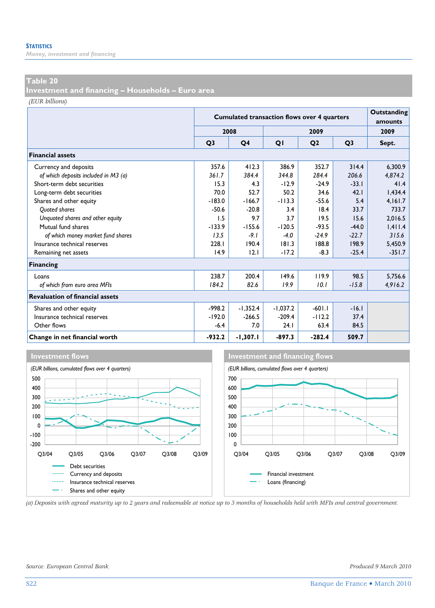*Money, investment and financing* 

#### **Table 20**

**Investment and financing – Households – Euro area** 

*(EUR billions)*

|                                        |                | <b>Cumulated transaction flows over 4 quarters</b> |            |                |                |          |  |  |  |
|----------------------------------------|----------------|----------------------------------------------------|------------|----------------|----------------|----------|--|--|--|
|                                        | 2008           |                                                    |            | 2009           |                | 2009     |  |  |  |
|                                        | O <sub>3</sub> | Q4                                                 | QI         | Q <sub>2</sub> | Q <sub>3</sub> | Sept.    |  |  |  |
| <b>Financial assets</b>                |                |                                                    |            |                |                |          |  |  |  |
| Currency and deposits                  | 357.6          | 412.3                                              | 386.9      | 352.7          | 314.4          | 6.300.9  |  |  |  |
| of which deposits included in M3 (a)   | 361.7          | 384.4                                              | 344.8      | 284.4          | 206.6          | 4,874.2  |  |  |  |
| Short-term debt securities             | 15.3           | 4.3                                                | $-12.9$    | $-24.9$        | $-33.1$        | 41.4     |  |  |  |
| Long-term debt securities              | 70.0           | 52.7                                               | 50.2       | 34.6           | 42.1           | 1,434.4  |  |  |  |
| Shares and other equity                | $-183.0$       | $-166.7$                                           | $-113.3$   | $-55.6$        | 5.4            | 4,161.7  |  |  |  |
| <b>Ouoted shares</b>                   | $-50.6$        | $-20.8$                                            | 3.4        | 18.4           | 33.7           | 733.7    |  |  |  |
| Unquoted shares and other equity       | 1.5            | 9.7                                                | 3.7        | 19.5           | 15.6           | 2,016.5  |  |  |  |
| Mutual fund shares                     | $-133.9$       | $-155.6$                                           | $-120.5$   | $-93.5$        | $-44.0$        | 1,411.4  |  |  |  |
| of which money market fund shares      | 13.5           | $-9.1$                                             | $-4.0$     | $-24.9$        | $-22.7$        | 315.6    |  |  |  |
| Insurance technical reserves           | 228.1          | 190.4                                              | 181.3      | 188.8          | 198.9          | 5,450.9  |  |  |  |
| Remaining net assets                   | 14.9           | 12.1                                               | $-17.2$    | $-8.3$         | $-25.4$        | $-351.7$ |  |  |  |
| <b>Financing</b>                       |                |                                                    |            |                |                |          |  |  |  |
| Loans                                  | 238.7          | 200.4                                              | 149.6      | 119.9          | 98.5           | 5,756.6  |  |  |  |
| of which from euro area MFIs           | 184.2          | 82.6                                               | 19.9       | 10.1           | $-15.8$        | 4,916.2  |  |  |  |
| <b>Revaluation of financial assets</b> |                |                                                    |            |                |                |          |  |  |  |
| Shares and other equity                | $-998.2$       | $-1,352.4$                                         | $-1,037.2$ | $-601.1$       | $-16.1$        |          |  |  |  |
| Insurance technical reserves           | $-192.0$       | $-266.5$                                           | $-209.4$   | $-112.2$       | 37.4           |          |  |  |  |
| Other flows                            | $-6.4$         | 7.0                                                | 24.1       | 63.4           | 84.5           |          |  |  |  |
| Change in net financial worth          | $-932.2$       | $-1,307.1$                                         | $-897.3$   | $-282.4$       | 509.7          |          |  |  |  |







*(a) Deposits with agreed maturity up to 2 years and redeemable at notice up to 3 months of households held with MFIs and central government.*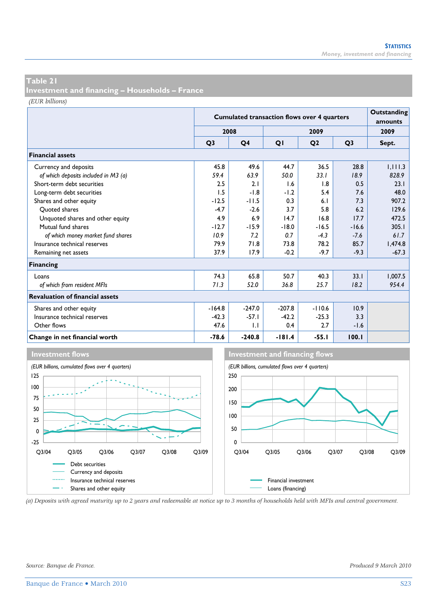**Investment and financing – Households – France** 

*(EUR billions)*

|                                        |                | <b>Cumulated transaction flows over 4 quarters</b> |          |                |                |         |  |  |
|----------------------------------------|----------------|----------------------------------------------------|----------|----------------|----------------|---------|--|--|
|                                        | 2008           |                                                    |          | 2009           |                | 2009    |  |  |
|                                        | O <sub>3</sub> | Q <sub>4</sub>                                     | QI       | Q <sub>2</sub> | O <sub>3</sub> | Sept.   |  |  |
| <b>Financial assets</b>                |                |                                                    |          |                |                |         |  |  |
| Currency and deposits                  | 45.8           | 49.6                                               | 44.7     | 36.5           | 28.8           | 1,111.3 |  |  |
| of which deposits included in M3 (a)   | 59.4           | 63.9                                               | 50.0     | 33.1           | 18.9           | 828.9   |  |  |
| Short-term debt securities             | 2.5            | 2.1                                                | 1.6      | 1.8            | 0.5            | 23.1    |  |  |
| Long-term debt securities              | 1.5            | $-1.8$                                             | $-1.2$   | 5.4            | 7.6            | 48.0    |  |  |
| Shares and other equity                | $-12.5$        | $-11.5$                                            | 0.3      | 6.1            | 7.3            | 907.2   |  |  |
| Ouoted shares                          | $-4.7$         | $-2.6$                                             | 3.7      | 5.8            | 6.2            | 129.6   |  |  |
| Unquoted shares and other equity       | 4.9            | 6.9                                                | 14.7     | 16.8           | 17.7           | 472.5   |  |  |
| Mutual fund shares                     | $-12.7$        | $-15.9$                                            | $-18.0$  | $-16.5$        | $-16.6$        | 305.1   |  |  |
| of which money market fund shares      | 10.9           | 7.2                                                | 0.7      | $-4.3$         | $-7.6$         | 61.7    |  |  |
| Insurance technical reserves           | 79.9           | 71.8                                               | 73.8     | 78.2           | 85.7           | 1.474.8 |  |  |
| Remaining net assets                   | 37.9           | 17.9                                               | $-0.2$   | $-9.7$         | $-9.3$         | $-67.3$ |  |  |
| <b>Financing</b>                       |                |                                                    |          |                |                |         |  |  |
| Loans                                  | 74.3           | 65.8                                               | 50.7     | 40.3           | 33.1           | 1,007.5 |  |  |
| of which from resident MFIs            | 71.3           | 52.0                                               | 36.8     | 25.7           | 18.2           | 954.4   |  |  |
| <b>Revaluation of financial assets</b> |                |                                                    |          |                |                |         |  |  |
| Shares and other equity                | $-164.8$       | $-247.0$                                           | $-207.8$ | $-110.6$       | 10.9           |         |  |  |
| Insurance technical reserves           | $-42.3$        | $-57.1$                                            | $-42.2$  | $-25.3$        | 3.3            |         |  |  |
| Other flows                            | 47.6           | 1.1                                                | 0.4      | 2.7            | $-1.6$         |         |  |  |
| Change in net financial worth          | $-78.6$        | $-240.8$                                           | $-181.4$ | $-55.1$        | 100.1          |         |  |  |



*(a) Deposits with agreed maturity up to 2 years and redeemable at notice up to 3 months of households held with MFIs and central government.*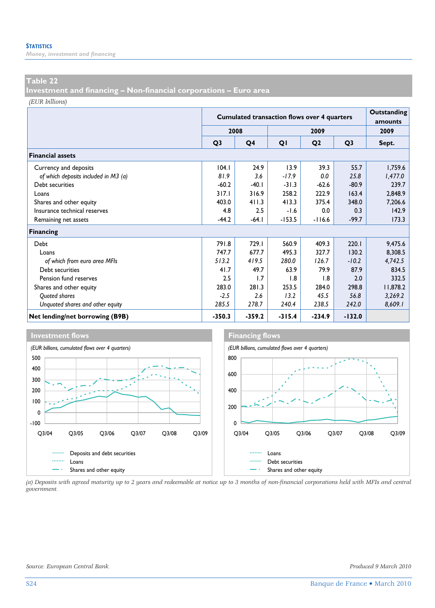*Money, investment and financing* 

#### **Table 22**

**Investment and financing – Non-financial corporations – Euro area** 

*(EUR billions)*

|                                      | <b>Cumulated transaction flows over 4 quarters</b> |          |          |                |                | Outstanding<br>amounts |
|--------------------------------------|----------------------------------------------------|----------|----------|----------------|----------------|------------------------|
|                                      |                                                    | 2008     |          | 2009           |                | 2009                   |
|                                      | Q <sub>3</sub>                                     | Q4       | QI       | Q <sub>2</sub> | Q <sub>3</sub> | Sept.                  |
| <b>Financial assets</b>              |                                                    |          |          |                |                |                        |
| Currency and deposits                | 104.1                                              | 24.9     | 13.9     | 39.3           | 55.7           | 1,759.6                |
| of which deposits included in M3 (a) | 81.9                                               | 3.6      | $-17.9$  | 0.0            | 25.8           | 1,477.0                |
| Debt securities                      | $-60.2$                                            | $-40.1$  | $-31.3$  | $-62.6$        | $-80.9$        | 239.7                  |
| Loans                                | 317.1                                              | 316.9    | 258.2    | 222.9          | 163.4          | 2,848.9                |
| Shares and other equity              | 403.0                                              | 411.3    | 413.3    | 375.4          | 348.0          | 7,206.6                |
| Insurance technical reserves         | 4.8                                                | 2.5      | $-1.6$   | 0.0            | 0.3            | 142.9                  |
| Remaining net assets                 | $-44.2$                                            | $-64.1$  | $-153.5$ | $-116.6$       | $-99.7$        | 173.3                  |
| <b>Financing</b>                     |                                                    |          |          |                |                |                        |
| Debt                                 | 791.8                                              | 729.1    | 560.9    | 409.3          | 220.1          | 9,475.6                |
| Loans                                | 747.7                                              | 677.7    | 495.3    | 327.7          | 130.2          | 8,308.5                |
| of which from euro area MFIs         | 513.2                                              | 419.5    | 280.0    | 126.7          | $-10.2$        | 4,742.5                |
| Debt securities                      | 41.7                                               | 49.7     | 63.9     | 79.9           | 87.9           | 834.5                  |
| Pension fund reserves                | 2.5                                                | 1.7      | 1.8      | 1.8            | 2.0            | 332.5                  |
| Shares and other equity              | 283.0                                              | 281.3    | 253.5    | 284.0          | 298.8          | 11,878.2               |
| Quoted shares                        | $-2.5$                                             | 2.6      | 13.2     | 45.5           | 56.8           | 3,269.2                |
| Unquoted shares and other equity     | 285.5                                              | 278.7    | 240.4    | 238.5          | 242.0          | 8,609.1                |
| Net lending/net borrowing (B9B)      | $-350.3$                                           | $-359.2$ | $-315.4$ | $-234.9$       | $-132.0$       |                        |



*(a) Deposits with agreed maturity up to 2 years and redeemable at notice up to 3 months of non-financial corporations held with MFIs and central government.*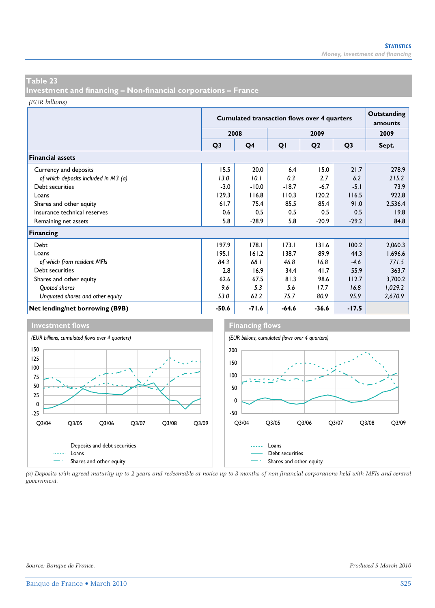**Investment and financing – Non-financial corporations – France** 

*(EUR billions)*

|                                      | <b>Cumulated transaction flows over 4 quarters</b> |                |         |                |                | Outstanding<br>amounts |
|--------------------------------------|----------------------------------------------------|----------------|---------|----------------|----------------|------------------------|
|                                      |                                                    | 2008           |         | 2009           |                | 2009                   |
|                                      | Q <sub>3</sub>                                     | Q <sub>4</sub> | QI      | Q <sub>2</sub> | Q <sub>3</sub> | Sept.                  |
| <b>Financial assets</b>              |                                                    |                |         |                |                |                        |
| Currency and deposits                | 15.5                                               | 20.0           | 6.4     | 15.0           | 21.7           | 278.9                  |
| of which deposits included in M3 (a) | 13.0                                               | 10.1           | 0.3     | 2.7            | 6.2            | 215.2                  |
| Debt securities                      | $-3.0$                                             | $-10.0$        | $-18.7$ | $-6.7$         | $-5.1$         | 73.9                   |
| Loans                                | 129.3                                              | 116.8          | 110.3   | 120.2          | 116.5          | 922.8                  |
| Shares and other equity              | 61.7                                               | 75.4           | 85.5    | 85.4           | 91.0           | 2,536.4                |
| Insurance technical reserves         | 0.6                                                | 0.5            | 0.5     | 0.5            | 0.5            | 19.8                   |
| Remaining net assets                 | 5.8                                                | $-28.9$        | 5.8     | $-20.9$        | $-29.2$        | 84.8                   |
| Financing                            |                                                    |                |         |                |                |                        |
| Debt                                 | 197.9                                              | 178.1          | 173.1   | 131.6          | 100.2          | 2,060.3                |
| Loans                                | 195.1                                              | 161.2          | 138.7   | 89.9           | 44.3           | 1,696.6                |
| of which from resident MFIs          | 84.3                                               | 68.I           | 46.8    | 16.8           | $-4.6$         | 771.5                  |
| Debt securities                      | 2.8                                                | 16.9           | 34.4    | 41.7           | 55.9           | 363.7                  |
| Shares and other equity              | 62.6                                               | 67.5           | 81.3    | 98.6           | 112.7          | 3,700.2                |
| Quoted shares                        | 9.6                                                | 5.3            | 5.6     | 17.7           | 16.8           | 1,029.2                |
| Unquoted shares and other equity     | 53.0                                               | 62.2           | 75.7    | 80.9           | 95.9           | 2,670.9                |
| Net lending/net borrowing (B9B)      | $-50.6$                                            | $-71.6$        | $-64.6$ | $-36.6$        | $-17.5$        |                        |





*(a) Deposits with agreed maturity up to 2 years and redeemable at notice up to 3 months of non-financial corporations held with MFIs and central government.*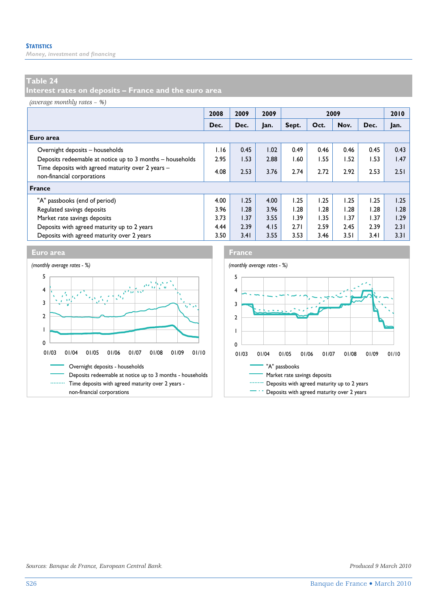*Money, investment and financing* 

## **Table 24**

**Interest rates on deposits – France and the euro area** 

*(average monthly rates – %)*

|                                                                                 | 2008 | 2009 | 2009 | 2009  |      |      |      | 2010 |
|---------------------------------------------------------------------------------|------|------|------|-------|------|------|------|------|
|                                                                                 | Dec. | Dec. | Jan. | Sept. | Oct. | Nov. | Dec. | lan. |
| Euro area                                                                       |      |      |      |       |      |      |      |      |
| Overnight deposits - households                                                 | 1.16 | 0.45 | 1.02 | 0.49  | 0.46 | 0.46 | 0.45 | 0.43 |
| Deposits redeemable at notice up to 3 months - households                       | 2.95 | 1.53 | 2.88 | 60. ا | 1.55 | 1.52 | 1.53 | 1.47 |
| Time deposits with agreed maturity over 2 years -<br>non-financial corporations | 4.08 | 2.53 | 3.76 | 2.74  | 2.72 | 2.92 | 2.53 | 2.51 |
| <b>France</b>                                                                   |      |      |      |       |      |      |      |      |
| "A" passbooks (end of period)                                                   | 4.00 | 1.25 | 4.00 | 1.25  | 1.25 | 1.25 | 1.25 | 1.25 |
| Regulated savings deposits                                                      | 3.96 | 1.28 | 3.96 | 1.28  | 1.28 | 1.28 | 1.28 | 1.28 |
| Market rate savings deposits                                                    | 3.73 | 1.37 | 3.55 | 1.39  | 1.35 | 1.37 | 1.37 | 1.29 |
| Deposits with agreed maturity up to 2 years                                     | 4.44 | 2.39 | 4.15 | 2.71  | 2.59 | 2.45 | 2.39 | 2.31 |
| Deposits with agreed maturity over 2 years                                      | 3.50 | 3.41 | 3.55 | 3.53  | 3.46 | 3.51 | 3.41 | 3.31 |





*Sources: Banque de France, European Central Bank. Produced 9 March 2010*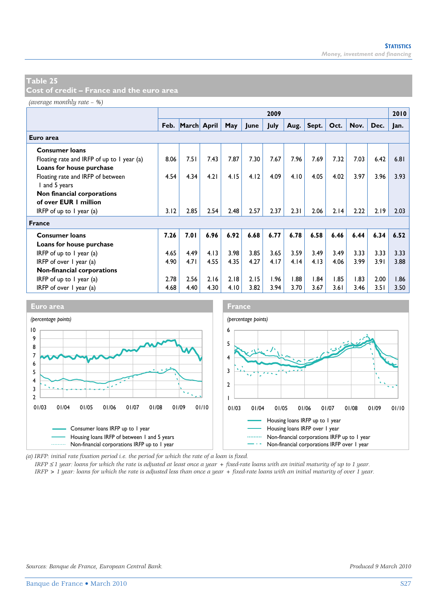**Cost of credit – France and the euro area** 

*(average monthly rate – %)*

|                                            |      |                  |      |      |      | 2009 |      |       |      |      |      | 2010 |
|--------------------------------------------|------|------------------|------|------|------|------|------|-------|------|------|------|------|
|                                            |      | Feb. March April |      | May  | June | July | Aug. | Sept. | Oct. | Nov. | Dec. | Jan. |
| Euro area                                  |      |                  |      |      |      |      |      |       |      |      |      |      |
| <b>Consumer loans</b>                      |      |                  |      |      |      |      |      |       |      |      |      |      |
| Floating rate and IRFP of up to 1 year (a) | 8.06 | 7.51             | 7.43 | 7.87 | 7.30 | 7.67 | 7.96 | 7.69  | 7.32 | 7.03 | 6.42 | 6.81 |
| Loans for house purchase                   |      |                  |      |      |      |      |      |       |      |      |      |      |
| Floating rate and IRFP of between          | 4.54 | 4.34             | 4.21 | 4.15 | 4.12 | 4.09 | 4.10 | 4.05  | 4.02 | 3.97 | 3.96 | 3.93 |
| I and 5 years                              |      |                  |      |      |      |      |      |       |      |      |      |      |
| Non financial corporations                 |      |                  |      |      |      |      |      |       |      |      |      |      |
| of over EUR 1 million                      |      |                  |      |      |      |      |      |       |      |      |      |      |
| IRFP of up to $\overline{1}$ year (a)      | 3.12 | 2.85             | 2.54 | 2.48 | 2.57 | 2.37 | 2.31 | 2.06  | 2.14 | 2.22 | 2.19 | 2.03 |
| <b>France</b>                              |      |                  |      |      |      |      |      |       |      |      |      |      |
| <b>Consumer loans</b>                      | 7.26 | 7.01             | 6.96 | 6.92 | 6.68 | 6.77 | 6.78 | 6.58  | 6.46 | 6.44 | 6.34 | 6.52 |
| Loans for house purchase                   |      |                  |      |      |      |      |      |       |      |      |      |      |
| IRFP of up to $\overline{1}$ year (a)      | 4.65 | 4.49             | 4.13 | 3.98 | 3.85 | 3.65 | 3.59 | 3.49  | 3.49 | 3.33 | 3.33 | 3.33 |
| IRFP of over $\vert$ year (a)              |      | 4.71             | 4.55 | 4.35 | 4.27 | 4.17 | 4.14 | 4.13  | 4.06 | 3.99 | 3.91 | 3.88 |
| Non-financial corporations                 |      |                  |      |      |      |      |      |       |      |      |      |      |
| IRFP of up to $\overline{I}$ year (a)      | 2.78 | 2.56             | 2.16 | 2.18 | 2.15 | 1.96 | 1.88 | 1.84  | 1.85 | 1.83 | 2.00 | 1.86 |
| IRFP of over 1 year (a)                    | 4.68 | 4.40             | 4.30 | 4.10 | 3.82 | 3.94 | 3.70 | 3.67  | 3.61 | 3.46 | 3.51 | 3.50 |



*(a) IRFP: initial rate fixation period i.e. the period for which the rate of a loan is fixed.* 

*IRFP* ≤ *1 year: loans for which the rate is adjusted at least once a year + fixed-rate loans with an initial maturity of up to 1 year.*

*IRFP > 1 year: loans for which the rate is adjusted less than once a year + fixed-rate loans with an initial maturity of over 1 year.*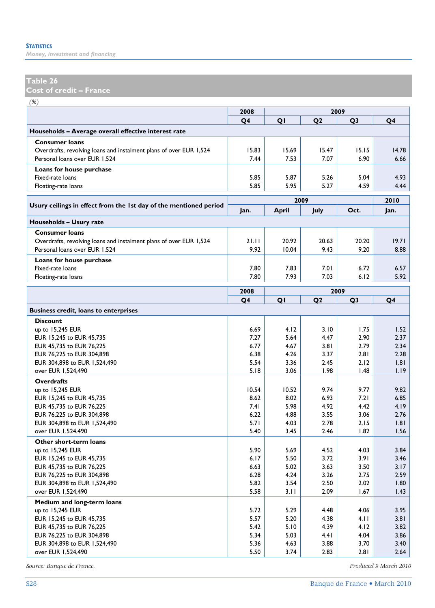*Money, investment and financing* 

## **Table 26**

**Cost of credit – France** 

*(%)*

| (70)                                                               | 2008         | 2009         |                |                |              |
|--------------------------------------------------------------------|--------------|--------------|----------------|----------------|--------------|
|                                                                    | Q4           | QI           | Q <sub>2</sub> | Q <sub>3</sub> | Q4           |
| Households - Average overall effective interest rate               |              |              |                |                |              |
| <b>Consumer loans</b>                                              |              |              |                |                |              |
| Overdrafts, revolving loans and instalment plans of over EUR 1,524 | 15.83        | 15.69        | 15.47          | 15.15          | 14.78        |
| Personal loans over EUR 1,524                                      | 7.44         | 7.53         | 7.07           | 6.90           | 6.66         |
| Loans for house purchase                                           |              |              |                |                |              |
| Fixed-rate loans                                                   | 5.85         | 5.87         | 5.26           | 5.04           | 4.93         |
| Floating-rate loans                                                | 5.85         | 5.95         | 5.27           | 4.59           | 4.44         |
|                                                                    |              | 2009         |                |                | 2010         |
| Usury ceilings in effect from the 1st day of the mentioned period  | Jan.         | <b>April</b> | July           | Oct.           | Jan.         |
| Households - Usury rate                                            |              |              |                |                |              |
| <b>Consumer loans</b>                                              |              |              |                |                |              |
| Overdrafts, revolving loans and instalment plans of over EUR 1,524 | 21.11        | 20.92        | 20.63          | 20.20          | 19.71        |
| Personal loans over EUR 1,524                                      | 9.92         | 10.04        | 9.43           | 9.20           | 8.88         |
| Loans for house purchase                                           |              |              |                |                |              |
| Fixed-rate loans                                                   | 7.80         | 7.83         | 7.01           | 6.72           | 6.57         |
| Floating-rate loans                                                | 7.80         | 7.93         | 7.03           | 6.12           | 5.92         |
|                                                                    | 2008         | 2009         |                |                |              |
|                                                                    | Q4           | QI           | Q <sub>2</sub> | Q <sub>3</sub> | Q4           |
| <b>Business credit, loans to enterprises</b>                       |              |              |                |                |              |
| <b>Discount</b>                                                    |              |              |                |                |              |
| up to 15,245 EUR                                                   | 6.69         | 4.12         | 3.10           | 1.75           | 1.52         |
| EUR 15,245 to EUR 45,735                                           | 7.27         | 5.64         | 4.47           | 2.90           | 2.37         |
| EUR 45,735 to EUR 76,225                                           | 6.77         | 4.67         | 3.81           | 2.79           | 2.34         |
| EUR 76,225 to EUR 304,898                                          | 6.38         | 4.26         | 3.37           | 2.81           | 2.28         |
| EUR 304,898 to EUR 1,524,490                                       | 5.54         | 3.36         | 2.45           | 2.12           | 1.81         |
| over EUR 1,524,490                                                 | 5.18         | 3.06         | 1.98           | 1.48           | 1.19         |
| <b>Overdrafts</b>                                                  |              |              |                |                |              |
| up to 15,245 EUR                                                   | 10.54        | 10.52        | 9.74           | 9.77           | 9.82         |
| EUR 15,245 to EUR 45,735                                           | 8.62         | 8.02         | 6.93           | 7.21           | 6.85         |
| EUR 45,735 to EUR 76,225                                           | 7.41         | 5.98         | 4.92           | 4.42           | 4.19         |
| EUR 76,225 to EUR 304,898                                          | 6.22         | 4.88         | 3.55           | 3.06           | 2.76         |
| EUR 304,898 to EUR 1,524,490                                       | 5.71         | 4.03         | 2.78           | 2.15           | 1.81         |
| over EUR 1,524,490                                                 | 5.40         | 3.45         | 2.46           | 1.82           | 1.56         |
| Other short-term loans                                             |              |              |                |                |              |
| up to 15,245 EUR                                                   | 5.90         | 5.69         | 4.52           | 4.03           | 3.84         |
| EUR 15,245 to EUR 45,735                                           | 6.17         | 5.50         | 3.72           | 3.91           | 3.46         |
| EUR 45,735 to EUR 76,225                                           | 6.63         | 5.02         | 3.63           | 3.50           | 3.17         |
| EUR 76,225 to EUR 304,898                                          | 6.28         | 4.24         | 3.26           | 2.75           | 2.59         |
| EUR 304,898 to EUR 1,524,490                                       | 5.82<br>5.58 | 3.54         | 2.50<br>2.09   | 2.02           | 1.80         |
| over EUR 1,524,490                                                 |              | 3.11         |                | 1.67           | 1.43         |
| Medium and long-term loans                                         |              |              |                |                |              |
| up to 15,245 EUR                                                   | 5.72         | 5.29<br>5.20 | 4.48           | 4.06<br>4.11   | 3.95         |
| EUR 15,245 to EUR 45,735<br>EUR 45,735 to EUR 76,225               | 5.57<br>5.42 | 5.10         | 4.38<br>4.39   | 4.12           | 3.81<br>3.82 |
| EUR 76,225 to EUR 304,898                                          | 5.34         | 5.03         | 4.41           | 4.04           | 3.86         |
| EUR 304,898 to EUR 1,524,490                                       | 5.36         | 4.63         | 3.88           | 3.70           | 3.40         |
| over EUR 1,524,490                                                 | 5.50         | 3.74         | 2.83           | 2.81           | 2.64         |

*Source: Banque de France. Produced 9 March 2010*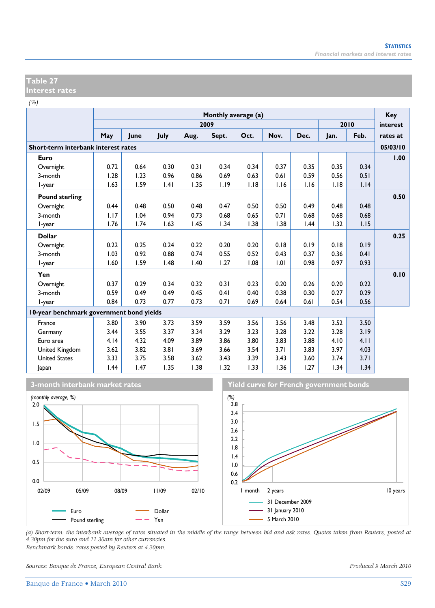#### **Table 27 Interest rates**

*(%)*

|                                          |      | Monthly average (a) |      |      |       |      |      |      |      |      | Key      |
|------------------------------------------|------|---------------------|------|------|-------|------|------|------|------|------|----------|
|                                          |      |                     |      |      | 2009  |      |      |      |      | 2010 | interest |
|                                          | May  | June                | July | Aug. | Sept. | Oct. | Nov. | Dec. | Jan. | Feb. | rates at |
| Short-term interbank interest rates      |      |                     |      |      |       |      |      |      |      |      | 05/03/10 |
| Euro                                     |      |                     |      |      |       |      |      |      |      |      | 1.00     |
| Overnight                                | 0.72 | 0.64                | 0.30 | 0.31 | 0.34  | 0.34 | 0.37 | 0.35 | 0.35 | 0.34 |          |
| 3-month                                  | 1.28 | 1.23                | 0.96 | 0.86 | 0.69  | 0.63 | 0.61 | 0.59 | 0.56 | 0.51 |          |
| l-year                                   | 1.63 | 1.59                | .4   | 1.35 | 1.19  | 1.18 | 1.16 | 1.16 | 1.18 | 1.14 |          |
| <b>Pound sterling</b>                    |      |                     |      |      |       |      |      |      |      |      | 0.50     |
| Overnight                                | 0.44 | 0.48                | 0.50 | 0.48 | 0.47  | 0.50 | 0.50 | 0.49 | 0.48 | 0.48 |          |
| 3-month                                  | 1.17 | 1.04                | 0.94 | 0.73 | 0.68  | 0.65 | 0.71 | 0.68 | 0.68 | 0.68 |          |
| l-year                                   | 1.76 | 1.74                | 1.63 | 1.45 | 1.34  | 1.38 | 1.38 | 1.44 | 1.32 | 1.15 |          |
| <b>Dollar</b>                            |      |                     |      |      |       |      |      |      |      |      | 0.25     |
| Overnight                                | 0.22 | 0.25                | 0.24 | 0.22 | 0.20  | 0.20 | 0.18 | 0.19 | 0.18 | 0.19 |          |
| 3-month                                  | 1.03 | 0.92                | 0.88 | 0.74 | 0.55  | 0.52 | 0.43 | 0.37 | 0.36 | 0.41 |          |
| I-year                                   | 1.60 | 1.59                | 1.48 | 1.40 | 1.27  | 1.08 | 1.01 | 0.98 | 0.97 | 0.93 |          |
| Yen                                      |      |                     |      |      |       |      |      |      |      |      | 0.10     |
| Overnight                                | 0.37 | 0.29                | 0.34 | 0.32 | 0.31  | 0.23 | 0.20 | 0.26 | 0.20 | 0.22 |          |
| 3-month                                  | 0.59 | 0.49                | 0.49 | 0.45 | 0.41  | 0.40 | 0.38 | 0.30 | 0.27 | 0.29 |          |
| l-year                                   | 0.84 | 0.73                | 0.77 | 0.73 | 0.71  | 0.69 | 0.64 | 0.61 | 0.54 | 0.56 |          |
| 10-year benchmark government bond yields |      |                     |      |      |       |      |      |      |      |      |          |
| France                                   | 3.80 | 3.90                | 3.73 | 3.59 | 3.59  | 3.56 | 3.56 | 3.48 | 3.52 | 3.50 |          |
| Germany                                  | 3.44 | 3.55                | 3.37 | 3.34 | 3.29  | 3.23 | 3.28 | 3.22 | 3.28 | 3.19 |          |
| Euro area                                | 4.14 | 4.32                | 4.09 | 3.89 | 3.86  | 3.80 | 3.83 | 3.88 | 4.10 | 4.11 |          |
| United Kingdom                           | 3.62 | 3.82                | 3.81 | 3.69 | 3.66  | 3.54 | 3.71 | 3.83 | 3.97 | 4.03 |          |
| <b>United States</b>                     | 3.33 | 3.75                | 3.58 | 3.62 | 3.43  | 3.39 | 3.43 | 3.60 | 3.74 | 3.71 |          |
| Japan                                    | 1.44 | 1.47                | 1.35 | 1.38 | 1.32  | 1.33 | 1.36 | 1.27 | 1.34 | 1.34 |          |







*(a) Short-term: the interbank average of rates situated in the middle of the range between bid and ask rates. Quotes taken from Reuters, posted at 4.30pm for the euro and 11.30am for other currencies. Benchmark bonds: rates posted by Reuters at 4.30pm.* 

*Sources: Banque de France, European Central Bank. Produced 9 March 2010*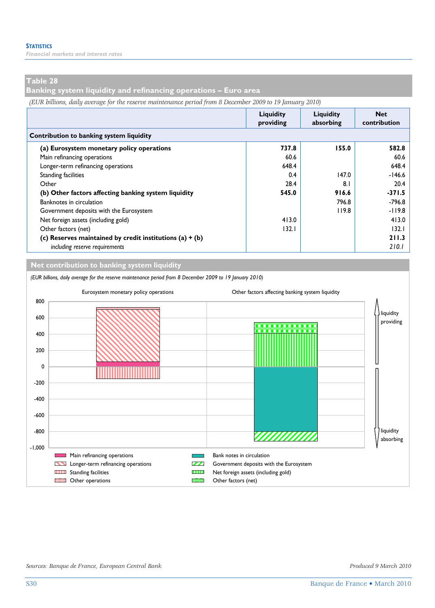*Financial markets and interest rates* 

#### **Table 28**

**Banking system liquidity and refinancing operations – Euro area** 

*(EUR billions, daily average for the reserve maintenance period from 8 December 2009 to 19 January 2010)*

|                                                            | Liquidity<br>providing | Liauidity<br>absorbing | <b>Net</b><br>contribution |  |  |  |  |  |
|------------------------------------------------------------|------------------------|------------------------|----------------------------|--|--|--|--|--|
| Contribution to banking system liquidity                   |                        |                        |                            |  |  |  |  |  |
| (a) Eurosystem monetary policy operations                  | 737.8                  | 155.0                  | 582.8                      |  |  |  |  |  |
| Main refinancing operations                                | 60.6                   |                        | 60.6                       |  |  |  |  |  |
| Longer-term refinancing operations                         | 648.4                  |                        | 648.4                      |  |  |  |  |  |
| <b>Standing facilities</b>                                 | 0.4                    | 147.0                  | $-146.6$                   |  |  |  |  |  |
| Other                                                      | 28.4                   | 8 <sub>1</sub>         | 20.4                       |  |  |  |  |  |
| (b) Other factors affecting banking system liquidity       | 545.0                  | 916.6                  | $-371.5$                   |  |  |  |  |  |
| Banknotes in circulation                                   |                        | 796.8                  | $-796.8$                   |  |  |  |  |  |
| Government deposits with the Eurosystem                    |                        | 119.8                  | $-119.8$                   |  |  |  |  |  |
| Net foreign assets (including gold)                        | 413.0                  |                        | 413.0                      |  |  |  |  |  |
| Other factors (net)                                        | 132.1                  |                        | 132.1                      |  |  |  |  |  |
| (c) Reserves maintained by credit institutions (a) $+$ (b) |                        |                        | 211.3                      |  |  |  |  |  |
| including reserve requirements                             |                        |                        | 210.1                      |  |  |  |  |  |

**Net contribution to banking system liquidity**

*(EUR billions, daily average for the reserve maintenance period from 8 December 2009 to 19 January 2010)* Eurosystem monetary policy operations Other factors affecting banking system liquidity 800 liquidity 600 providing 400 200 0 -200 -400 -600 -800 liquidity ,,,,,,,,,,,, absorbing -1,000 Main refinancing operations **Bank notes in circulation** Bank notes in circulation Longer-term refinancing operations **CAL** Government deposits with the Eurosystem **THE Standing facilities** Standing facilities Net foreign assets (including gold) **EXECUTE:** Other operations **Other factors** (net)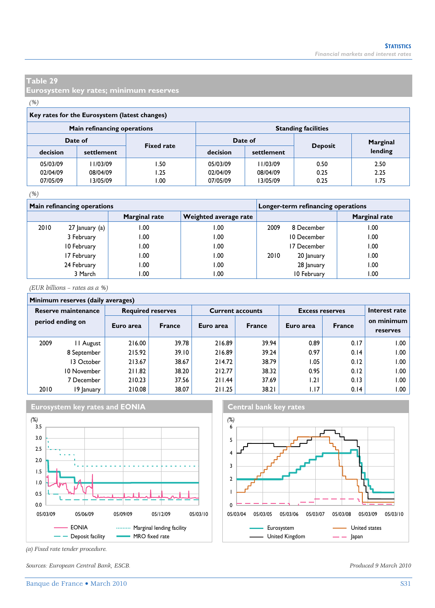**Eurosystem key rates; minimum reserves** 

#### *(%)*

| Key rates for the Eurosystem (latest changes) |                             |                   |          |                            |                |          |  |  |  |  |
|-----------------------------------------------|-----------------------------|-------------------|----------|----------------------------|----------------|----------|--|--|--|--|
|                                               | Main refinancing operations |                   |          | <b>Standing facilities</b> |                |          |  |  |  |  |
|                                               | Date of                     | <b>Fixed rate</b> | Date of  |                            |                | Marginal |  |  |  |  |
| decision                                      | settlement                  |                   | decision | settlement                 | <b>Deposit</b> | lending  |  |  |  |  |
| 05/03/09                                      | 1/03/09                     | I .50             | 05/03/09 | 1/03/09                    | 0.50           | 2.50     |  |  |  |  |
| 02/04/09                                      | 08/04/09                    | I.25              | 02/04/09 | 08/04/09                   | 0.25           | 2.25     |  |  |  |  |
| 07/05/09                                      | 3/05/09                     | 00. ا             | 07/05/09 | 13/05/09                   | 0.25           | 1.75     |  |  |  |  |
|                                               |                             |                   |          |                            |                |          |  |  |  |  |

#### *(%)*

|      | <b>Main refinancing operations</b> |               | Longer-term refinancing operations |      |             |                      |
|------|------------------------------------|---------------|------------------------------------|------|-------------|----------------------|
|      |                                    | Marginal rate | Weighted average rate              |      |             | <b>Marginal rate</b> |
| 2010 | 27 January (a)                     | 1.00          | .00                                | 2009 | 8 December  | .00                  |
|      | 3 February                         | 1.00          | 00.1                               |      | 10 December | .00                  |
|      | 10 February                        | 00. ا         | .00                                |      | 17 December | .00                  |
|      | 17 February                        | 1.00          | 1.00                               | 2010 | 20 January  | 1.00                 |
|      | 24 February                        | 1.00          | 0.00                               |      | 28 January  | .00                  |
|      | 3 March                            | 00. ا         | .00                                |      | 10 February | .00                  |

*(EUR billions – rates as a %)*

#### **Minimum reserves (daily averages)**

| .  . esc. . es , au., a. e. a <u>.</u> es , |                  |           |                          |           |                         |                        |               |                        |  |
|---------------------------------------------|------------------|-----------|--------------------------|-----------|-------------------------|------------------------|---------------|------------------------|--|
| Reserve maintenance                         |                  |           | <b>Required reserves</b> |           | <b>Current accounts</b> | <b>Excess reserves</b> | Interest rate |                        |  |
|                                             | period ending on | Euro area | <b>France</b>            | Euro area | <b>France</b>           | Euro area              | <b>France</b> | on minimum<br>reserves |  |
| 2009                                        | 11 August        | 216.00    | 39.78                    | 216.89    | 39.94                   | 0.89                   | 0.17          | ا ١.٥٥                 |  |
|                                             | 8 September      | 215.92    | 39.10                    | 216.89    | 39.24                   | 0.97                   | 0.14          | ا ١.٥٥                 |  |
|                                             | 13 October       | 213.67    | 38.67                    | 214.72    | 38.79                   | 1.05                   | 0.12          | .00                    |  |
|                                             | 10 November      | 211.82    | 38.20                    | 212.77    | 38.32                   | 0.95                   | 0.12          | ا ١.٥٥                 |  |
|                                             | 7 December       | 210.23    | 37.56                    | 211.44    | 37.69                   | 1.21                   | 0.13          | .00                    |  |
| 2010                                        | 19 January       | 210.08    | 38.07                    | 211.25    | 38.21                   | 1.17                   | 0.14          | ا ١.٥٥                 |  |





*(a) Fixed rate tender procedure.* 

*Sources: European Central Bank, ESCB. Produced 9 March 2010*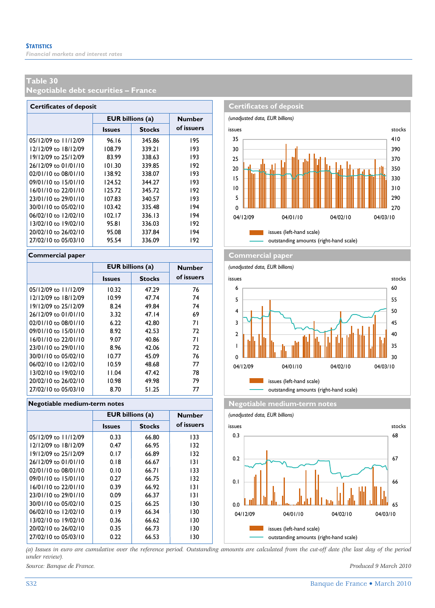**Negotiable debt securities – France** 

| <b>Certificates of deposit</b> |                                |        |               |  |  |  |  |  |  |
|--------------------------------|--------------------------------|--------|---------------|--|--|--|--|--|--|
|                                | <b>EUR billions (a)</b>        |        | <b>Number</b> |  |  |  |  |  |  |
|                                | <b>Stocks</b><br><b>Issues</b> |        | of issuers    |  |  |  |  |  |  |
| 05/12/09 to 11/12/09           | 96.16                          | 345.86 | 195           |  |  |  |  |  |  |
| 12/12/09 to 18/12/09           | 108.79                         | 339.21 | 193           |  |  |  |  |  |  |
| 19/12/09 to 25/12/09           | 83.99                          | 338.63 | 193           |  |  |  |  |  |  |
| 26/12/09 to 01/01/10           | 101.30                         | 339.85 | 192           |  |  |  |  |  |  |
| 02/01/10 to 08/01/10           | 138.92                         | 338.07 | 193           |  |  |  |  |  |  |
| 09/01/10 to 15/01/10           | 124.52                         | 344.27 | 193           |  |  |  |  |  |  |
| 16/01/10 to 22/01/10           | 125.72                         | 345.72 | 192           |  |  |  |  |  |  |
| 23/01/10 to 29/01/10           | 107.83                         | 340.57 | 193           |  |  |  |  |  |  |
| 30/01/10 to 05/02/10           | 103.42                         | 335.48 | 194           |  |  |  |  |  |  |
| 06/02/10 to 12/02/10           | 102.17                         | 336.13 | 194           |  |  |  |  |  |  |
| 13/02/10 to 19/02/10           | 95.81                          | 336.03 | 192           |  |  |  |  |  |  |
| 20/02/10 to 26/02/10           | 95.08                          | 337.84 | 194           |  |  |  |  |  |  |
| 27/02/10 to 05/03/10           | 95.54                          | 336.09 | 192           |  |  |  |  |  |  |

|                          | <b>EUR billions (a)</b> |               | <b>Number</b> |
|--------------------------|-------------------------|---------------|---------------|
|                          | <b>Issues</b>           | <b>Stocks</b> | of issuers    |
| 05/12/09 to 11/12/09     | 10.32                   | 47.29         | 76            |
| 12/12/09 to 18/12/09     | 10.99                   | 47.74         | 74            |
| 19/12/09 to 25/12/09     | 8.24                    | 49.84         | 74            |
| 26/12/09 to 01/01/10     | 3.32                    | 47.14         | 69            |
| 02/01/10 to 08/01/10     | 6.22                    | 42.80         | 71            |
| 09/01/10 to 15/01/10     | 8.92                    | 42.53         | 72            |
| 16/01/10 to 22/01/10     | 9.07                    | 40.86         | 71            |
| $23/01/10$ to $29/01/10$ | 8.96                    | 42.06         | 72            |
| 30/01/10 to 05/02/10     | 10.77                   | 45.09         | 76            |
| 06/02/10 to 12/02/10     | 10.59                   | 48.68         | 77            |
| 13/02/10 to 19/02/10     | 11.04                   | 47.42         | 78            |
| 20/02/10 to 26/02/10     | 10.98                   | 49.98         | 79            |
| 27/02/10 to 05/03/10     | 8.70                    | 51.25         | 77            |

#### **Negotiable medium-term notes Negotiable medium-term notes**

|                          |               | <b>EUR billions (a)</b> |            |  |  |  |  |  |
|--------------------------|---------------|-------------------------|------------|--|--|--|--|--|
|                          | <b>Issues</b> | <b>Stocks</b>           | of issuers |  |  |  |  |  |
| $05/12/09$ to $11/12/09$ | 0.33          | 66.80                   | 133        |  |  |  |  |  |
| 12/12/09 to 18/12/09     | 0.47          | 66.95                   | 132        |  |  |  |  |  |
| 19/12/09 to 25/12/09     | 0.17          | 66.89                   | 132        |  |  |  |  |  |
| 26/12/09 to 01/01/10     | 0.18          | 66.67                   | 131        |  |  |  |  |  |
| 02/01/10 to 08/01/10     | 0.10          | 66.71                   | 133        |  |  |  |  |  |
| 09/01/10 to 15/01/10     | 0.27          | 66.75                   | 132        |  |  |  |  |  |
| 16/01/10 to 22/01/10     | 0.39          | 66.92                   | 131        |  |  |  |  |  |
| 23/01/10 to 29/01/10     | 0.09          | 66.37                   | 131        |  |  |  |  |  |
| 30/01/10 to 05/02/10     | 0.25          | 66.25                   | 130        |  |  |  |  |  |
| 06/02/10 to 12/02/10     | 0.19          | 66.34                   | 130        |  |  |  |  |  |
| 13/02/10 to 19/02/10     | 0.36          | 66.62                   | 130        |  |  |  |  |  |
| 20/02/10 to 26/02/10     | 0.35          | 66.73                   | 130        |  |  |  |  |  |
| 27/02/10 to 05/03/10     | 0.22          | 66.53                   | 130        |  |  |  |  |  |



#### **Commercial paper Commercial paper**

*(unadjusted data, EUR billions)* **Issues Stocks of ISSUETS** issues and **intervalse issues** stocks issues (left-hand scale) outstanding amounts (right-hand scale) 0 1 2 3 4 5 6 04/12/09 04/01/10 04/02/10 04/03/10 30 35 40 45 50 55 60



*(a) Issues in euro are cumulative over the reference period. Outstanding amounts are calculated from the cut-off date (the last day of the period under review).* 

*Source: Banque de France. Produced 9 March 2010*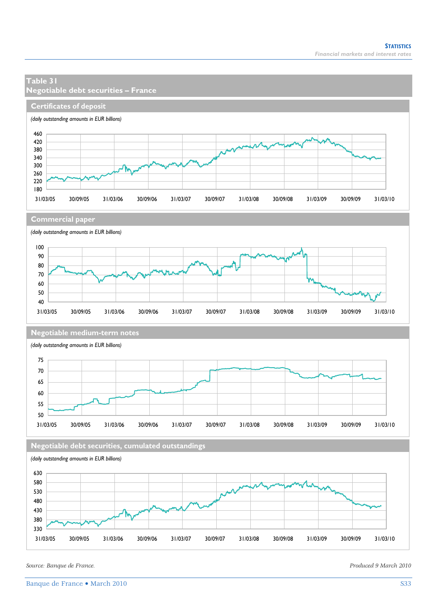#### **Certificates of deposit** *(daily outstanding amounts in EUR billions)* 460 420 380 340 300 ሥΨ 260 220 180 31/03/05 30/09/05 31/03/06 30/09/06 31/03/07 30/09/07 31/03/08 30/09/08 31/03/09 30/09/09 31/03/10 **Commercial paper** *(daily outstanding amounts in EUR billions)* 100 90 80 70 ١M 60 50 40 31/03/05 30/09/05 31/03/06 30/09/06 31/03/07 30/09/07 31/03/08 30/09/08 31/03/09 30/09/09 31/03/10 **Negotiable medium-term notes** *(daily outstanding amounts in EUR billions)* 75 70 65 60 55 50 31/03/05 30/09/05 31/03/06 30/09/06 31/03/07 30/09/07 31/03/08 30/09/08 31/03/09 30/09/09 31/03/10 **Negotiable debt securities, cumulated outstandings** *(daily outstanding amounts in EUR billions)* 630 580 530 480 430 380

31/03/05 30/09/05 31/03/06 30/09/06 31/03/07 30/09/07 31/03/08 30/09/08 31/03/09 30/09/09 31/03/10

**Negotiable debt securities – France** 

**Table 31** 

*Source: Banque de France. Produced 9 March 2010* 

330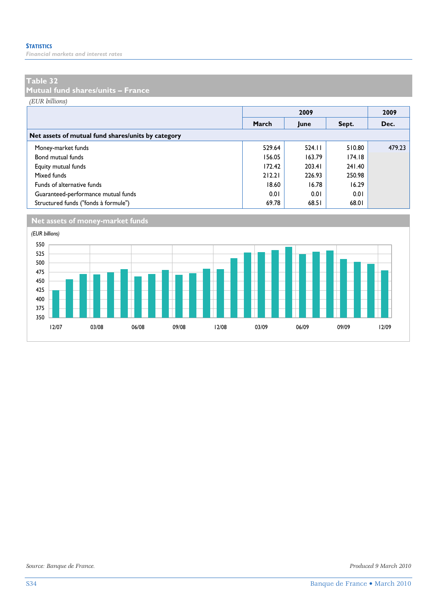*Financial markets and interest rates* 

#### **Table 32**

**Mutual fund shares/units – France** 

*(EUR billions)*

|                                                    |        |        | 2009   |        |
|----------------------------------------------------|--------|--------|--------|--------|
|                                                    | March  | June   | Sept.  | Dec.   |
| Net assets of mutual fund shares/units by category |        |        |        |        |
| Money-market funds                                 | 529.64 | 524.11 | 510.80 | 479.23 |
| Bond mutual funds                                  | 156.05 | 163.79 | 174.18 |        |
| Equity mutual funds                                | 172.42 | 203.41 | 241.40 |        |
| Mixed funds                                        | 212.21 | 226.93 | 250.98 |        |
| Funds of alternative funds                         | 18.60  | 16.78  | 16.29  |        |
| Guaranteed-performance mutual funds                | 0.01   | 0.01   | 0.01   |        |
| Structured funds ("fonds à formule")               | 69.78  | 68.51  | 68.01  |        |





*Source: Banque de France. Produced 9 March 2010*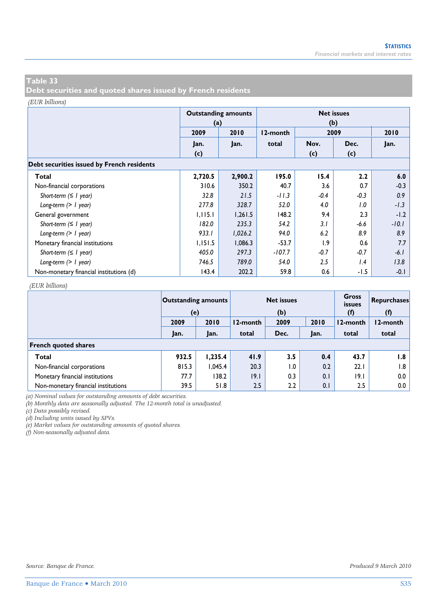**Debt securities and quoted shares issued by French residents** 

#### *(EUR billions)*

|                                            | (a)     | <b>Outstanding amounts</b> | <b>Net issues</b><br>(b) |        |        |         |  |  |  |  |  |  |
|--------------------------------------------|---------|----------------------------|--------------------------|--------|--------|---------|--|--|--|--|--|--|
|                                            | 2009    | 2010                       | 12-month                 | 2010   |        |         |  |  |  |  |  |  |
|                                            | Jan.    | Jan.                       | total                    | Nov.   | Dec.   | Jan.    |  |  |  |  |  |  |
|                                            | (c)     |                            |                          | (c)    | (c)    |         |  |  |  |  |  |  |
| Debt securities issued by French residents |         |                            |                          |        |        |         |  |  |  |  |  |  |
| Total                                      | 2,720.5 | 2,900.2                    | 195.0                    | 15.4   | 2.2    | 6.0     |  |  |  |  |  |  |
| Non-financial corporations                 | 310.6   | 350.2                      | 40.7                     | 3.6    | 0.7    | $-0.3$  |  |  |  |  |  |  |
| Short-term $( \leq l$ year)                | 32.8    | 21.5                       | $-11.3$                  | $-0.4$ | $-0.3$ | 0.9     |  |  |  |  |  |  |
| Long-term $(> 1$ year)                     | 277.8   | 328.7                      | 52.0                     | 4.0    | 1.0    | $-1.3$  |  |  |  |  |  |  |
| General government                         | 1,115.1 | 1,261.5                    | 148.2                    | 9.4    | 2.3    | $-1.2$  |  |  |  |  |  |  |
| Short-term $( \leq l$ year)                | 182.0   | 235.3                      | 54.2                     | 3.1    | -6.6   | $-10.1$ |  |  |  |  |  |  |
| Long-term $(> 1$ year)                     | 933.I   | 1,026.2                    | 94.0                     | 6.2    | 8.9    | 8.9     |  |  |  |  |  |  |
| Monetary financial institutions            | 1,151.5 | 1,086.3                    | $-53.7$                  | 1.9    | 0.6    | 7.7     |  |  |  |  |  |  |
| Short-term $( \leq l$ year)                | 405.0   | 297.3                      | $-107.7$                 | $-0.7$ | $-0.7$ | $-6.1$  |  |  |  |  |  |  |
| Long-term $(> 1$ year)                     | 746.5   | 789.0                      | 54.0                     | 2.5    | 1.4    | 13.8    |  |  |  |  |  |  |
| Non-monetary financial institutions (d)    | 143.4   | 202.2                      | 59.8                     | 0.6    | -1.5   | $-0.1$  |  |  |  |  |  |  |

#### *(EUR billions)*

|                                     | <b>Outstanding amounts</b><br>(e) |         |          | <b>Net issues</b><br>(b) |      | <b>Gross</b><br><i>issues</i><br>(f) | <b>Repurchases</b><br>(f) |
|-------------------------------------|-----------------------------------|---------|----------|--------------------------|------|--------------------------------------|---------------------------|
|                                     | 2009                              | 2010    | 12-month | 2009                     | 2010 | 12-month                             | 12-month                  |
|                                     | Jan.                              | Jan.    | total    | Dec.                     | Jan. | total                                | total                     |
| <b>French quoted shares</b>         |                                   |         |          |                          |      |                                      |                           |
| Total                               | 932.5                             | 1,235.4 | 41.9     | 3.5                      | 0.4  | 43.7                                 | I.8                       |
| Non-financial corporations          | 815.3                             | 1.045.4 | 20.3     | $\overline{0}$ .         | 0.2  | 22.1                                 | I.8                       |
| Monetary financial institutions     | 77.7                              | 138.2   | 9.1      | 0.3                      | 0.1  | 9.1                                  | $0.0\,$                   |
| Non-monetary financial institutions | 39.5                              | 51.8    | 2.5      | 2.2                      | 0.1  | 2.5                                  | $0.0\,$                   |

*(a) Nominal values for outstanding amounts of debt securities.* 

*(b) Monthly data are seasonally adjusted. The 12-month total is unadjusted.* 

*(c) Data possibly revised.* 

*(d) Including units issued by SPVs.* 

*(e) Market values for outstanding amounts of quoted shares.* 

*(f) Non-seasonally adjusted data.*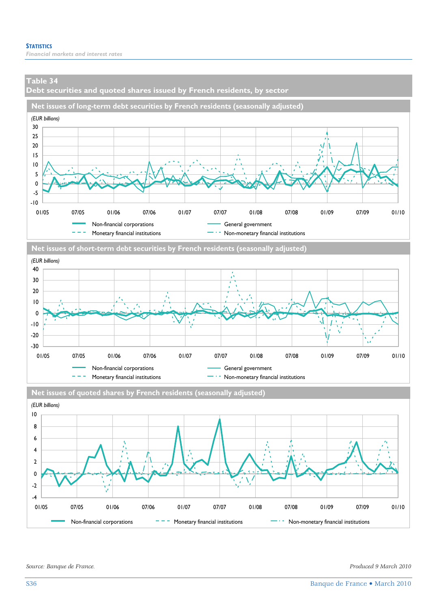**Debt securities and quoted shares issued by French residents, by sector** 







*Source: Banque de France. Produced 9 March 2010*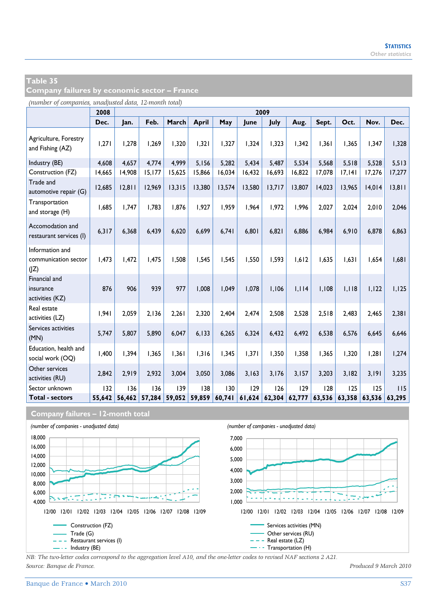**Company failures by economic sector – France** 

*(number of companies, unadjusted data, 12-month total)*

|                                                 | 2008   |        |        |        |        |        |        | 2009   |        |        |        |        |        |
|-------------------------------------------------|--------|--------|--------|--------|--------|--------|--------|--------|--------|--------|--------|--------|--------|
|                                                 | Dec.   | Jan.   | Feb.   | March  | April  | May    | June   | July   | Aug.   | Sept.  | Oct.   | Nov.   | Dec.   |
| Agriculture, Forestry<br>and Fishing (AZ)       | 1,271  | 1,278  | 1,269  | 1,320  | 1.321  | 1,327  | 1,324  | 1,323  | 1,342  | 1,361  | 1,365  | 1,347  | 1,328  |
| Industry (BE)                                   | 4,608  | 4.657  | 4,774  | 4.999  | 5.156  | 5,282  | 5.434  | 5,487  | 5.534  | 5.568  | 5,518  | 5.528  | 5,513  |
| Construction (FZ)                               | 14,665 | 14,908 | 15,177 | 15,625 | 15,866 | 16,034 | 16,432 | 16,693 | 16,822 | 17,078 | 17,141 | 17,276 | 17,277 |
| Trade and<br>automotive repair (G)              | 12,685 | 12.811 | 12,969 | 13,315 | 13,380 | 13,574 | 13,580 | 13,717 | 13,807 | 14,023 | 13,965 | 14,014 | 13,811 |
| Transportation<br>and storage (H)               | 1,685  | 1.747  | 1,783  | 1.876  | 1,927  | 1,959  | 1,964  | 1,972  | 1,996  | 2,027  | 2,024  | 2,010  | 2,046  |
| Accomodation and<br>restaurant services (I)     | 6,317  | 6.368  | 6.439  | 6.620  | 6.699  | 6,741  | 6,801  | 6.821  | 6.886  | 6.984  | 6.910  | 6,878  | 6,863  |
| Information and<br>communication sector<br>(IZ) | 1,473  | 1,472  | 1.475  | 1.508  | 1,545  | 1,545  | 1,550  | 1,593  | 1,612  | 1.635  | 1.631  | 1,654  | 1,681  |
| Financial and<br>insurance<br>activities (KZ)   | 876    | 906    | 939    | 977    | 1.008  | 1.049  | 1.078  | 1,106  | 1,114  | 1.108  | 1.118  | 1,122  | 1,125  |
| Real estate<br>activities (LZ)                  | 1.941  | 2.059  | 2.136  | 2.261  | 2.320  | 2.404  | 2.474  | 2.508  | 2.528  | 2.518  | 2.483  | 2.465  | 2,381  |
| Services activities<br>(MN)                     | 5,747  | 5.807  | 5,890  | 6.047  | 6.133  | 6,265  | 6,324  | 6,432  | 6.492  | 6,538  | 6,576  | 6.645  | 6,646  |
| Education, health and<br>social work (OQ)       | 1,400  | 1.394  | 1,365  | 1.361  | 1,316  | 1.345  | 1,371  | 1,350  | 1.358  | 1,365  | 1,320  | 1,281  | 1,274  |
| Other services<br>activities (RU)               | 2,842  | 2.919  | 2,932  | 3.004  | 3.050  | 3,086  | 3,163  | 3,176  | 3,157  | 3,203  | 3,182  | 3,191  | 3,235  |
| Sector unknown                                  | 132    | 136    | 136    | 139    | 138    | 130    | 129    | 126    | 129    | 128    | 125    | 125    | 115    |
| <b>Total - sectors</b>                          | 55,642 | 56,462 | 57,284 | 59,052 | 59,859 | 60,741 | 61,624 | 62,304 | 62,777 | 63,536 | 63,358 | 63,536 | 63.295 |

**Company failures – 12-month total**



*NB: The two-letter codes correspond to the aggregation level A10, and the one-letter codes to revised NAF sections 2 A21. Source: Banque de France. Produced 9 March 2010*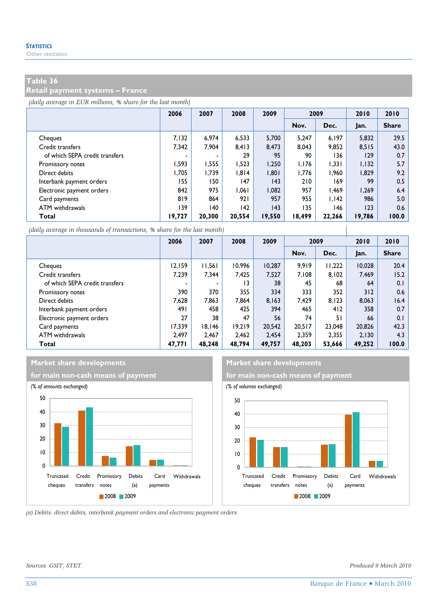#### **Retail payment systems – France**

*(daily average in EUR millions, % share for the last month)*

|                                | 2006   | 2007   | 2008   | 2009   | 2009   |        | 2010   | 2010         |
|--------------------------------|--------|--------|--------|--------|--------|--------|--------|--------------|
|                                |        |        |        |        | Nov.   | Dec.   | Jan.   | <b>Share</b> |
| Cheques                        | 7.132  | 6.974  | 6.533  | 5.700  | 5.247  | 6,197  | 5,832  | 29.5         |
| Credit transfers               | 7.342  | 7.904  | 8.413  | 8.473  | 8.043  | 9,852  | 8.515  | 43.0         |
| of which SEPA credit transfers |        | ٠      | 29     | 95     | 90     | 136    | 129    | 0.7          |
| Promissory notes               | 1,593  | 1,555  | 1,523  | 1,250  | 1,176  | 1,331  | 1,132  | 5.7          |
| Direct debits                  | 1.705  | 1.739  | 1.814  | 1,801  | 1.776  | 1,960  | 1,829  | 9.2          |
| Interbank payment orders       | 155    | 150    | 147    | 43     | 210    | 169    | 99     | 0.5          |
| Electronic payment orders      | 842    | 975    | 1.061  | 1.082  | 957    | 1.469  | 1.269  | 6.4          |
| Card payments                  | 819    | 864    | 921    | 957    | 955    | 1.142  | 986    | 5.0          |
| ATM withdrawals                | 139    | 140    | 142    | 43     | 135    | 146    | 123    | 0.6          |
| Total                          | 19,727 | 20,300 | 20.554 | 19,550 | 18,499 | 22.266 | 19,786 | 100.0        |

*(daily average in thousands of transactions, % share for the last month)*

|                                | 2006   | 2007                     | 2008   | 2009   | 2009   |        | 2010   | 2010         |
|--------------------------------|--------|--------------------------|--------|--------|--------|--------|--------|--------------|
|                                |        |                          |        |        | Nov.   | Dec.   | Jan.   | <b>Share</b> |
| Cheques                        | 12.159 | 11.561                   | 10.996 | 10.287 | 9.919  | 11,222 | 10,028 | 20.4         |
| Credit transfers               | 7.239  | 7.344                    | 7.425  | 7.527  | 7.108  | 8.102  | 7,469  | 15.2         |
| of which SEPA credit transfers |        | $\overline{\phantom{a}}$ | 13     | 38     | 45     | 68     | 64     | 0.1          |
| Promissory notes               | 390    | 370                      | 355    | 334    | 333    | 352    | 312    | 0.6          |
| Direct debits                  | 7.628  | 7.863                    | 7.864  | 8.163  | 7.429  | 8.123  | 8.063  | 16.4         |
| Interbank payment orders       | 491    | 458                      | 425    | 394    | 465    | 412    | 358    | 0.7          |
| Electronic payment orders      | 27     | 38                       | 47     | 56     | 74     | 51     | 66     | 0.1          |
| Card payments                  | 17.339 | 18.146                   | 19.219 | 20.542 | 20.517 | 23,048 | 20,826 | 42.3         |
| ATM withdrawals                | 2.497  | 2.467                    | 2.462  | 2.454  | 2.359  | 2,355  | 2,130  | 4.3          |
| <b>Total</b>                   | 47,771 | 48,248                   | 48,794 | 49,757 | 48.203 | 53,666 | 49,252 | 100.0        |

#### **Market share developments Market share developments**





 $\overline{\phantom{a}}$ 

*(a) Debits: direct debits, interbank payment orders and electronic payment orders.* 

*Sources: GSIT, STET. Produced 9 March 2010*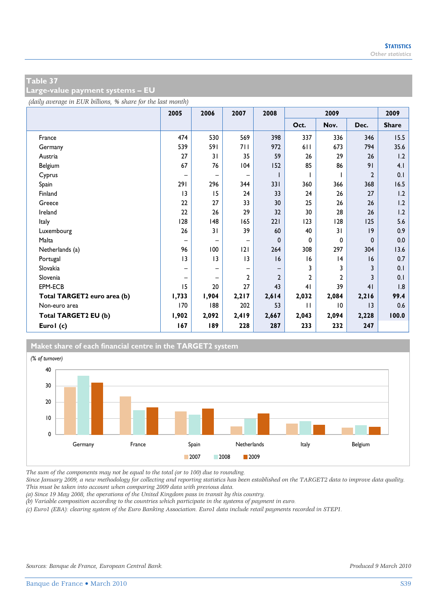**Large-value payment systems – EU** 

*(daily average in EUR billions, % share for the last month)*

|                             | 2005  | 2006              | 2007  | 2008           | 2009           |                |                | 2009         |
|-----------------------------|-------|-------------------|-------|----------------|----------------|----------------|----------------|--------------|
|                             |       |                   |       |                | Oct.           | Nov.           | Dec.           | <b>Share</b> |
| France                      | 474   | 530               | 569   | 398            | 337            | 336            | 346            | 15.5         |
| Germany                     | 539   | 591               | 711   | 972            | 611            | 673            | 794            | 35.6         |
| Austria                     | 27    | 31                | 35    | 59             | 26             | 29             | 26             | 1.2          |
| Belgium                     | 67    | 76                | 104   | 152            | 85             | 86             | 91             | 4.1          |
| Cyprus                      | -     | $\qquad \qquad -$ | -     |                |                |                | $\overline{2}$ | 0.1          |
| Spain                       | 291   | 296               | 344   | 331            | 360            | 366            | 368            | 16.5         |
| Finland                     | 3     | 15                | 24    | 33             | 24             | 26             | 27             | 1.2          |
| Greece                      | 22    | 27                | 33    | 30             | 25             | 26             | 26             | 1.2          |
| Ireland                     | 22    | 26                | 29    | 32             | 30             | 28             | 26             | 1.2          |
| Italy                       | 128   | 148               | 165   | 221            | 123            | 128            | 125            | 5.6          |
| Luxembourg                  | 26    | 31                | 39    | 60             | 40             | 31             | 19             | 0.9          |
| Malta                       | -     | $\qquad \qquad -$ | -     | 0              | 0              | 0              | $\mathbf 0$    | 0.0          |
| Netherlands (a)             | 96    | 100               | 2     | 264            | 308            | 297            | 304            | 13.6         |
| Portugal                    | 3     | 3                 | 3     | 16             | 16             | 4              | 16             | 0.7          |
| Slovakia                    |       | -                 |       |                | 3              | 3              | 3              | 0.1          |
| Slovenia                    | -     | $\qquad \qquad -$ | 2     | $\overline{2}$ | $\overline{2}$ | $\overline{2}$ | 3              | 0.1          |
| EPM-ECB                     | 15    | 20                | 27    | 43             | 41             | 39             | 41             | 1.8          |
| Total TARGET2 euro area (b) | 1,733 | 1,904             | 2,217 | 2,614          | 2,032          | 2,084          | 2,216          | 99.4         |
| Non-euro area               | 170   | 188               | 202   | 53             | $\mathbf{H}$   | 10             | 3              | 0.6          |
| Total TARGET2 EU (b)        | 1,902 | 2,092             | 2,419 | 2,667          | 2,043          | 2,094          | 2,228          | 100.0        |
| Eurol (c)                   | 167   | 189               | 228   | 287            | 233            | 232            | 247            |              |



*The sum of the components may not be equal to the total (or to 100) due to rounding.* 

*Since January 2009, a new methodology for collecting and reporting statistics has been established on the TARGET2 data to improve data quality. This must be taken into account when comparing 2009 data with previous data.* 

*(a) Since 19 May 2008, the operations of the United Kingdom pass in transit by this country.* 

*(b) Variable composition according to the countries which participate in the systems of payment in euro.* 

*(c) Euro1 (EBA): clearing system of the Euro Banking Association. Euro1 data include retail payments recorded in STEP1.*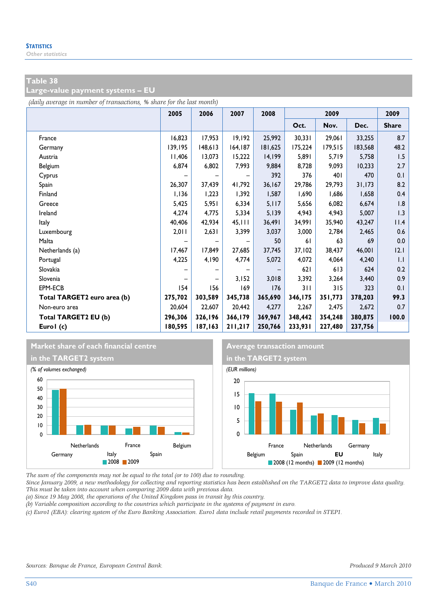**Large-value payment systems – EU** 

*(daily average in number of transactions, % share for the last month)*

|                             | 2005    | 2006    | 2007    | 2008    | 2009    |         |         | 2009         |
|-----------------------------|---------|---------|---------|---------|---------|---------|---------|--------------|
|                             |         |         |         |         | Oct.    | Nov.    | Dec.    | <b>Share</b> |
| France                      | 16,823  | 17,953  | 19,192  | 25,992  | 30,331  | 29,061  | 33,255  | 8.7          |
| Germany                     | 139,195 | 148,613 | 164,187 | 181,625 | 175,224 | 179,515 | 183,568 | 48.2         |
| Austria                     | 11,406  | 13,073  | 15,222  | 14,199  | 5,891   | 5,719   | 5,758   | 1.5          |
| Belgium                     | 6,874   | 6,802   | 7,993   | 9,884   | 8,728   | 9,093   | 10,233  | 2.7          |
| Cyprus                      |         |         |         | 392     | 376     | 401     | 470     | 0.1          |
| Spain                       | 26,307  | 37,439  | 41,792  | 36,167  | 29,786  | 29,793  | 31,173  | 8.2          |
| Finland                     | 1,136   | 1,223   | 1,392   | 1,587   | 1,690   | 1,686   | 1,658   | 0.4          |
| Greece                      | 5,425   | 5,951   | 6,334   | 5,117   | 5,656   | 6,082   | 6,674   | 1.8          |
| Ireland                     | 4,274   | 4,775   | 5,334   | 5,139   | 4,943   | 4,943   | 5,007   | 1.3          |
| Italy                       | 40,406  | 42,934  | 45,111  | 36,491  | 34,991  | 35,940  | 43,247  | 11.4         |
| Luxembourg                  | 2,011   | 2,631   | 3,399   | 3,037   | 3,000   | 2,784   | 2,465   | 0.6          |
| Malta                       |         |         |         | 50      | 61      | 63      | 69      | 0.0          |
| Netherlands (a)             | 17,467  | 17,849  | 27,685  | 37,745  | 37,102  | 38,437  | 46,001  | 12.1         |
| Portugal                    | 4,225   | 4,190   | 4,774   | 5,072   | 4,072   | 4,064   | 4,240   | 1.1          |
| Slovakia                    |         |         |         |         | 621     | 613     | 624     | 0.2          |
| Slovenia                    |         |         | 3,152   | 3,018   | 3,392   | 3,264   | 3,440   | 0.9          |
| EPM-ECB                     | 154     | 156     | 169     | 176     | 311     | 315     | 323     | 0.1          |
| Total TARGET2 euro area (b) | 275,702 | 303,589 | 345,738 | 365,690 | 346,175 | 351,773 | 378,203 | 99.3         |
| Non-euro area               | 20,604  | 22,607  | 20,442  | 4,277   | 2,267   | 2,475   | 2,672   | 0.7          |
| Total TARGET2 EU (b)        | 296,306 | 326,196 | 366,179 | 369,967 | 348,442 | 354,248 | 380,875 | 100.0        |
| Eurol (c)                   | 180,595 | 187,163 | 211,217 | 250,766 | 233,931 | 227,480 | 237,756 |              |

# **Market share of each financial centre Average transaction amount**





*The sum of the components may not be equal to the total (or to 100) due to rounding.* 

*Since January 2009, a new methodology for collecting and reporting statistics has been established on the TARGET2 data to improve data quality. This must be taken into account when comparing 2009 data with previous data.* 

*(a) Since 19 May 2008, the operations of the United Kingdom pass in transit by this country.* 

*(b) Variable composition according to the countries which participate in the systems of payment in euro.* 

*(c) Euro1 (EBA): clearing system of the Euro Banking Association. Euro1 data include retail payments recorded in STEP1.*